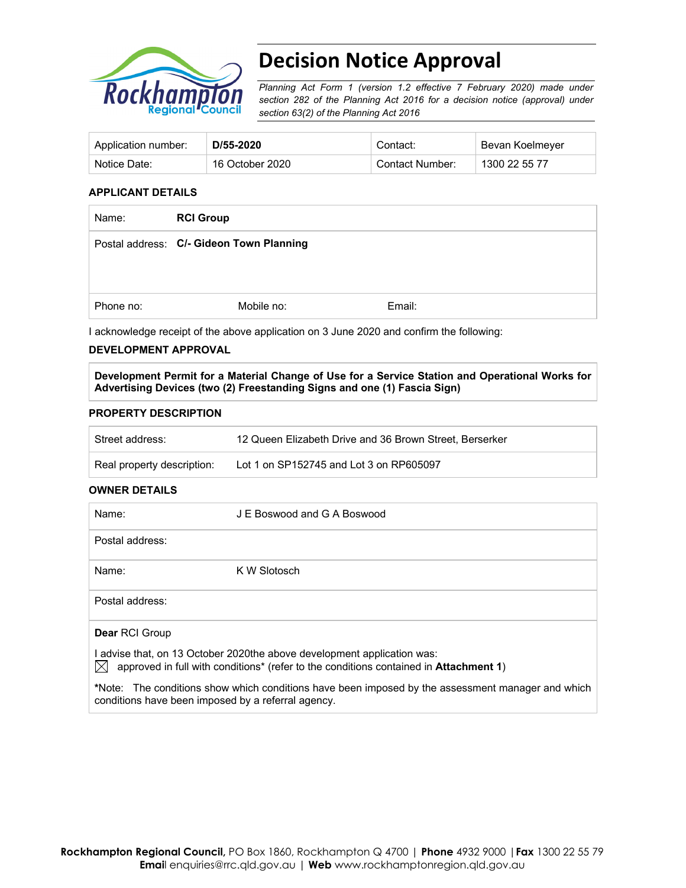

# **Decision Notice Approval**

*Planning Act Form 1 (version 1.2 effective 7 February 2020) made under section 282 of the Planning Act 2016 for a decision notice (approval) under section 63(2) of the Planning Act 2016*

| Application number: | D/55-2020       | Contact:        | Bevan Koelmeyer |
|---------------------|-----------------|-----------------|-----------------|
| Notice Date:        | 16 October 2020 | Contact Number: | 1300 22 55 77   |

## **APPLICANT DETAILS**

| Name:     | <b>RCI Group</b>                         |        |
|-----------|------------------------------------------|--------|
|           | Postal address: C/- Gideon Town Planning |        |
|           |                                          |        |
| Phone no: | Mobile no:                               | Email: |

I acknowledge receipt of the above application on 3 June 2020 and confirm the following:

## **DEVELOPMENT APPROVAL**

**Development Permit for a Material Change of Use for a Service Station and Operational Works for Advertising Devices (two (2) Freestanding Signs and one (1) Fascia Sign)** 

## **PROPERTY DESCRIPTION**

conditions have been imposed by a referral agency.

| Street address:            | 12 Queen Elizabeth Drive and 36 Brown Street, Berserker |
|----------------------------|---------------------------------------------------------|
| Real property description: | Lot 1 on SP152745 and Lot 3 on RP605097                 |

### **OWNER DETAILS**

| Name:                                                                                                                                                                                       | J E Boswood and G A Boswood                                                                       |  |
|---------------------------------------------------------------------------------------------------------------------------------------------------------------------------------------------|---------------------------------------------------------------------------------------------------|--|
| Postal address:                                                                                                                                                                             |                                                                                                   |  |
| Name:                                                                                                                                                                                       | K W Slotosch                                                                                      |  |
| Postal address:                                                                                                                                                                             |                                                                                                   |  |
| <b>Dear RCI Group</b>                                                                                                                                                                       |                                                                                                   |  |
| I advise that, on 13 October 2020the above development application was:<br>IХI<br>approved in full with conditions <sup>*</sup> (refer to the conditions contained in <b>Attachment 1</b> ) |                                                                                                   |  |
|                                                                                                                                                                                             | *Note: The conditions show which conditions have been imposed by the assessment manager and which |  |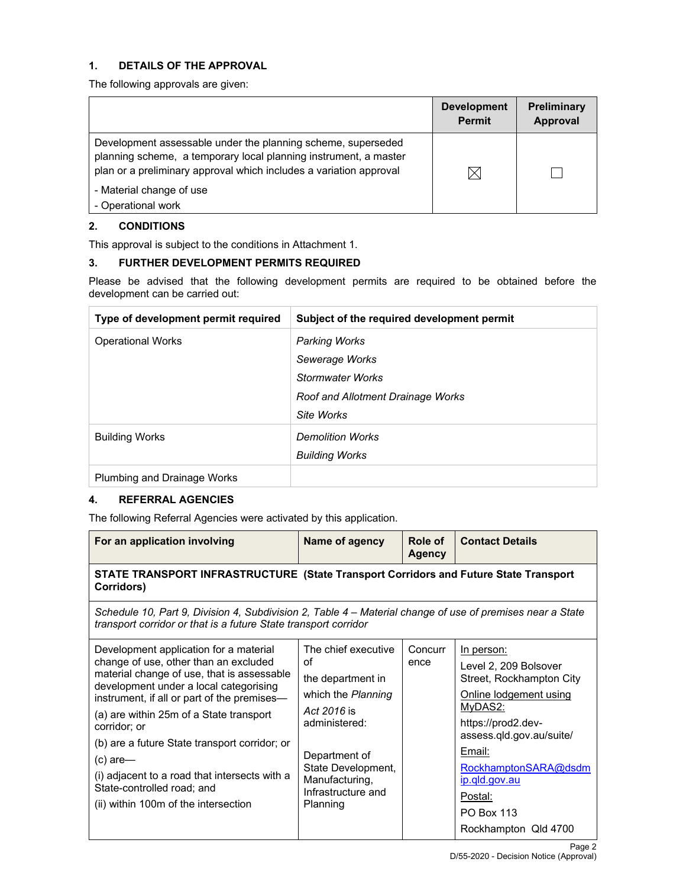# **1. DETAILS OF THE APPROVAL**

The following approvals are given:

|                                                                                                                                                                                                                                    | <b>Development</b><br><b>Permit</b> | <b>Preliminary</b><br>Approval |
|------------------------------------------------------------------------------------------------------------------------------------------------------------------------------------------------------------------------------------|-------------------------------------|--------------------------------|
| Development assessable under the planning scheme, superseded<br>planning scheme, a temporary local planning instrument, a master<br>plan or a preliminary approval which includes a variation approval<br>- Material change of use | IX                                  |                                |
| - Operational work                                                                                                                                                                                                                 |                                     |                                |

# **2. CONDITIONS**

This approval is subject to the conditions in Attachment 1.

# **3. FURTHER DEVELOPMENT PERMITS REQUIRED**

Please be advised that the following development permits are required to be obtained before the development can be carried out:

| Type of development permit required | Subject of the required development permit |
|-------------------------------------|--------------------------------------------|
| <b>Operational Works</b>            | <b>Parking Works</b>                       |
|                                     | Sewerage Works                             |
|                                     | <b>Stormwater Works</b>                    |
|                                     | Roof and Allotment Drainage Works          |
|                                     | Site Works                                 |
| <b>Building Works</b>               | <b>Demolition Works</b>                    |
|                                     | <b>Building Works</b>                      |
| Plumbing and Drainage Works         |                                            |

# **4. REFERRAL AGENCIES**

The following Referral Agencies were activated by this application.

| For an application involving                                                                                                                                                                                                                                                                                                                                                                                                                                            | Name of agency                                                                                                                                                                                  | Role of<br>Agency | <b>Contact Details</b>                                                                                                                                                                                                                                            |  |  |
|-------------------------------------------------------------------------------------------------------------------------------------------------------------------------------------------------------------------------------------------------------------------------------------------------------------------------------------------------------------------------------------------------------------------------------------------------------------------------|-------------------------------------------------------------------------------------------------------------------------------------------------------------------------------------------------|-------------------|-------------------------------------------------------------------------------------------------------------------------------------------------------------------------------------------------------------------------------------------------------------------|--|--|
| STATE TRANSPORT INFRASTRUCTURE (State Transport Corridors and Future State Transport<br>Corridors)                                                                                                                                                                                                                                                                                                                                                                      |                                                                                                                                                                                                 |                   |                                                                                                                                                                                                                                                                   |  |  |
| Schedule 10, Part 9, Division 4, Subdivision 2, Table 4 – Material change of use of premises near a State<br>transport corridor or that is a future State transport corridor                                                                                                                                                                                                                                                                                            |                                                                                                                                                                                                 |                   |                                                                                                                                                                                                                                                                   |  |  |
| Development application for a material<br>change of use, other than an excluded<br>material change of use, that is assessable<br>development under a local categorising<br>instrument, if all or part of the premises-<br>(a) are within 25m of a State transport<br>corridor; or<br>(b) are a future State transport corridor; or<br>$(c)$ are-<br>(i) adjacent to a road that intersects with a<br>State-controlled road; and<br>(ii) within 100m of the intersection | The chief executive<br>οf<br>the department in<br>which the Planning<br>Act 2016 is<br>administered:<br>Department of<br>State Development,<br>Manufacturing,<br>Infrastructure and<br>Planning | Concurr<br>ence   | In person:<br>Level 2, 209 Bolsover<br>Street, Rockhampton City<br>Online lodgement using<br>MyDAS2:<br>https://prod2.dev-<br>assess.qld.gov.au/suite/<br>Email:<br>RockhamptonSARA@dsdm<br>ip.qld.gov.au<br>Postal:<br><b>PO Box 113</b><br>Rockhampton Qld 4700 |  |  |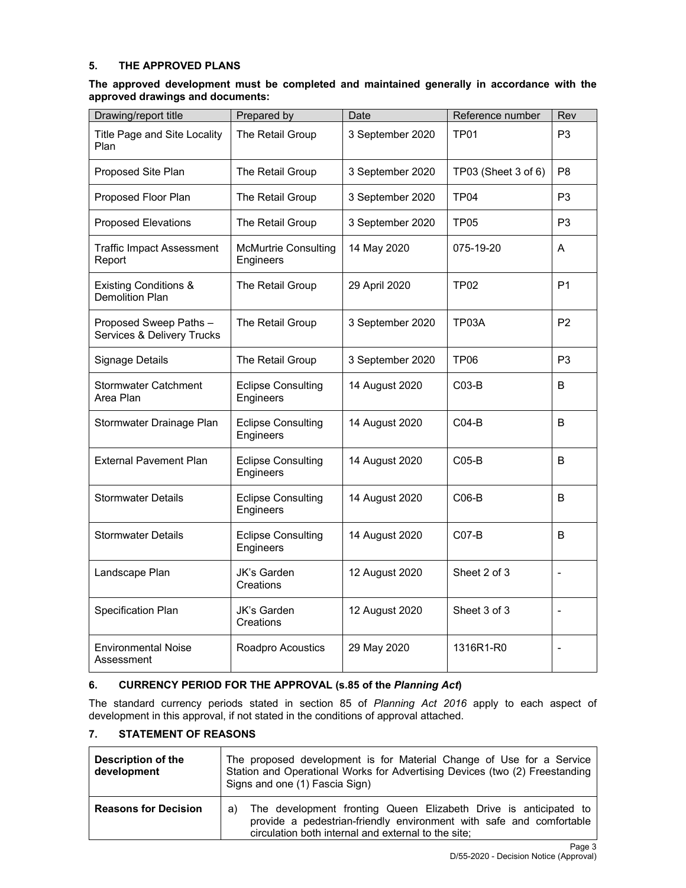## **5. THE APPROVED PLANS**

## **The approved development must be completed and maintained generally in accordance with the approved drawings and documents:**

| Drawing/report title                                 | Prepared by                              | Date                     | Reference number    | Rev            |
|------------------------------------------------------|------------------------------------------|--------------------------|---------------------|----------------|
| Title Page and Site Locality<br>Plan                 | The Retail Group                         | 3 September 2020<br>TP01 |                     | P <sub>3</sub> |
| Proposed Site Plan                                   | The Retail Group                         | 3 September 2020         | TP03 (Sheet 3 of 6) | P <sub>8</sub> |
| Proposed Floor Plan                                  | The Retail Group                         | 3 September 2020         | <b>TP04</b>         | P <sub>3</sub> |
| <b>Proposed Elevations</b>                           | The Retail Group                         | 3 September 2020         | <b>TP05</b>         | P <sub>3</sub> |
| <b>Traffic Impact Assessment</b><br>Report           | <b>McMurtrie Consulting</b><br>Engineers | 14 May 2020              | 075-19-20           | A              |
| <b>Existing Conditions &amp;</b><br>Demolition Plan  | The Retail Group                         | 29 April 2020            | TP02                | P <sub>1</sub> |
| Proposed Sweep Paths -<br>Services & Delivery Trucks | The Retail Group                         | 3 September 2020         | TP03A               | P <sub>2</sub> |
| <b>Signage Details</b>                               | The Retail Group                         | 3 September 2020         | TP <sub>06</sub>    | P <sub>3</sub> |
| <b>Stormwater Catchment</b><br>Area Plan             | <b>Eclipse Consulting</b><br>Engineers   | 14 August 2020           | C03-B               | B              |
| Stormwater Drainage Plan                             | <b>Eclipse Consulting</b><br>Engineers   | 14 August 2020           | $CO4-B$             | B              |
| <b>External Pavement Plan</b>                        | <b>Eclipse Consulting</b><br>Engineers   | 14 August 2020           | $CO5-B$             | B              |
| <b>Stormwater Details</b>                            | <b>Eclipse Consulting</b><br>Engineers   | 14 August 2020           | $CO6-B$             | B              |
| <b>Stormwater Details</b>                            | <b>Eclipse Consulting</b><br>Engineers   | 14 August 2020           | $CO7-B$             | B              |
| Landscape Plan                                       | JK's Garden<br>Creations                 | 12 August 2020           | Sheet 2 of 3        | $\blacksquare$ |
| Specification Plan                                   | JK's Garden<br>Creations                 | 12 August 2020           | Sheet 3 of 3        | $\blacksquare$ |
| <b>Environmental Noise</b><br>Assessment             | Roadpro Acoustics                        | 29 May 2020              | 1316R1-R0           | $\blacksquare$ |

# **6. CURRENCY PERIOD FOR THE APPROVAL (s.85 of the** *Planning Act***)**

The standard currency periods stated in section 85 of *Planning Act 2016* apply to each aspect of development in this approval, if not stated in the conditions of approval attached.

# **7. STATEMENT OF REASONS**

| Description of the<br>development | The proposed development is for Material Change of Use for a Service<br>Station and Operational Works for Advertising Devices (two (2) Freestanding<br>Signs and one (1) Fascia Sign)                |  |  |
|-----------------------------------|------------------------------------------------------------------------------------------------------------------------------------------------------------------------------------------------------|--|--|
| <b>Reasons for Decision</b>       | The development fronting Queen Elizabeth Drive is anticipated to<br>a)<br>provide a pedestrian-friendly environment with safe and comfortable<br>circulation both internal and external to the site; |  |  |
|                                   | Page 3                                                                                                                                                                                               |  |  |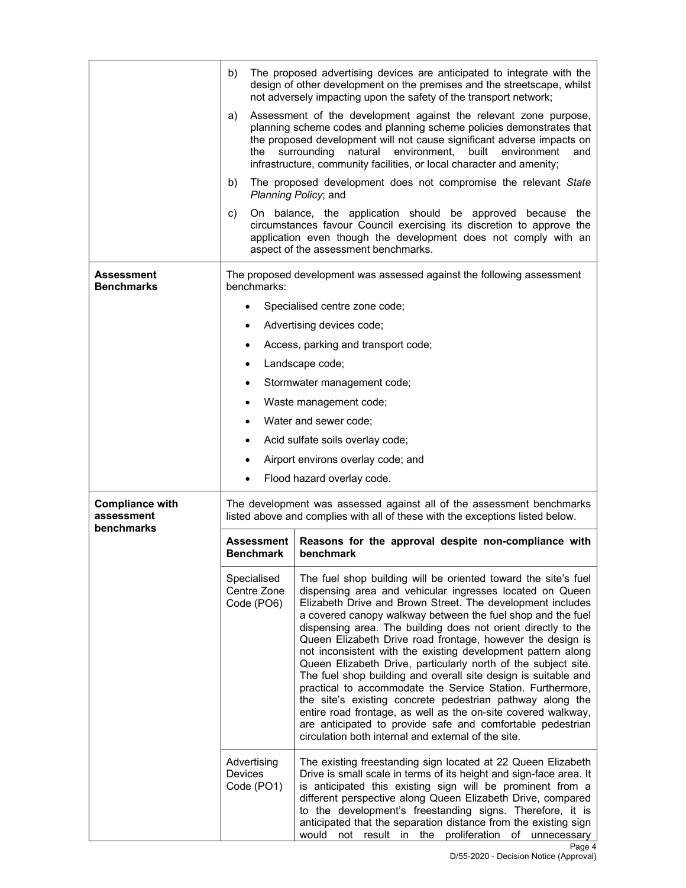|                                                    | b)                                                                                                                                                     | The proposed advertising devices are anticipated to integrate with the<br>design of other development on the premises and the streetscape, whilst<br>not adversely impacting upon the safety of the transport network;                                                                                                                                                                                                                                                                                                                                                                                                                                                                                                                                                                                                                                                                                      |  |  |
|----------------------------------------------------|--------------------------------------------------------------------------------------------------------------------------------------------------------|-------------------------------------------------------------------------------------------------------------------------------------------------------------------------------------------------------------------------------------------------------------------------------------------------------------------------------------------------------------------------------------------------------------------------------------------------------------------------------------------------------------------------------------------------------------------------------------------------------------------------------------------------------------------------------------------------------------------------------------------------------------------------------------------------------------------------------------------------------------------------------------------------------------|--|--|
|                                                    | a)<br>the                                                                                                                                              | Assessment of the development against the relevant zone purpose,<br>planning scheme codes and planning scheme policies demonstrates that<br>the proposed development will not cause significant adverse impacts on<br>natural<br>environment,<br>built<br>surrounding<br>environment<br>and<br>infrastructure, community facilities, or local character and amenity;                                                                                                                                                                                                                                                                                                                                                                                                                                                                                                                                        |  |  |
|                                                    | b)                                                                                                                                                     | The proposed development does not compromise the relevant State<br>Planning Policy; and                                                                                                                                                                                                                                                                                                                                                                                                                                                                                                                                                                                                                                                                                                                                                                                                                     |  |  |
|                                                    | C)                                                                                                                                                     | On balance, the application should be approved because the<br>circumstances favour Council exercising its discretion to approve the<br>application even though the development does not comply with an<br>aspect of the assessment benchmarks.                                                                                                                                                                                                                                                                                                                                                                                                                                                                                                                                                                                                                                                              |  |  |
| Assessment<br><b>Benchmarks</b>                    | benchmarks:                                                                                                                                            | The proposed development was assessed against the following assessment                                                                                                                                                                                                                                                                                                                                                                                                                                                                                                                                                                                                                                                                                                                                                                                                                                      |  |  |
|                                                    |                                                                                                                                                        | Specialised centre zone code;                                                                                                                                                                                                                                                                                                                                                                                                                                                                                                                                                                                                                                                                                                                                                                                                                                                                               |  |  |
|                                                    |                                                                                                                                                        | Advertising devices code;                                                                                                                                                                                                                                                                                                                                                                                                                                                                                                                                                                                                                                                                                                                                                                                                                                                                                   |  |  |
|                                                    |                                                                                                                                                        | Access, parking and transport code;                                                                                                                                                                                                                                                                                                                                                                                                                                                                                                                                                                                                                                                                                                                                                                                                                                                                         |  |  |
|                                                    | $\bullet$                                                                                                                                              | Landscape code;                                                                                                                                                                                                                                                                                                                                                                                                                                                                                                                                                                                                                                                                                                                                                                                                                                                                                             |  |  |
|                                                    |                                                                                                                                                        | Stormwater management code;                                                                                                                                                                                                                                                                                                                                                                                                                                                                                                                                                                                                                                                                                                                                                                                                                                                                                 |  |  |
|                                                    | $\bullet$                                                                                                                                              | Waste management code;                                                                                                                                                                                                                                                                                                                                                                                                                                                                                                                                                                                                                                                                                                                                                                                                                                                                                      |  |  |
|                                                    | $\bullet$                                                                                                                                              | Water and sewer code;                                                                                                                                                                                                                                                                                                                                                                                                                                                                                                                                                                                                                                                                                                                                                                                                                                                                                       |  |  |
|                                                    |                                                                                                                                                        | Acid sulfate soils overlay code;                                                                                                                                                                                                                                                                                                                                                                                                                                                                                                                                                                                                                                                                                                                                                                                                                                                                            |  |  |
|                                                    |                                                                                                                                                        | Airport environs overlay code; and                                                                                                                                                                                                                                                                                                                                                                                                                                                                                                                                                                                                                                                                                                                                                                                                                                                                          |  |  |
|                                                    |                                                                                                                                                        | Flood hazard overlay code.                                                                                                                                                                                                                                                                                                                                                                                                                                                                                                                                                                                                                                                                                                                                                                                                                                                                                  |  |  |
| <b>Compliance with</b><br>assessment<br>benchmarks | The development was assessed against all of the assessment benchmarks<br>listed above and complies with all of these with the exceptions listed below. |                                                                                                                                                                                                                                                                                                                                                                                                                                                                                                                                                                                                                                                                                                                                                                                                                                                                                                             |  |  |
|                                                    | Assessment<br><b>Benchmark</b>                                                                                                                         | Reasons for the approval despite non-compliance with<br>benchmark                                                                                                                                                                                                                                                                                                                                                                                                                                                                                                                                                                                                                                                                                                                                                                                                                                           |  |  |
|                                                    | Specialised<br>Centre Zone<br>Code (PO6)                                                                                                               | The fuel shop building will be oriented toward the site's fuel<br>dispensing area and vehicular ingresses located on Queen<br>Elizabeth Drive and Brown Street. The development includes<br>a covered canopy walkway between the fuel shop and the fuel<br>dispensing area. The building does not orient directly to the<br>Queen Elizabeth Drive road frontage, however the design is<br>not inconsistent with the existing development pattern along<br>Queen Elizabeth Drive, particularly north of the subject site.<br>The fuel shop building and overall site design is suitable and<br>practical to accommodate the Service Station. Furthermore,<br>the site's existing concrete pedestrian pathway along the<br>entire road frontage, as well as the on-site covered walkway,<br>are anticipated to provide safe and comfortable pedestrian<br>circulation both internal and external of the site. |  |  |
|                                                    | Advertising<br>Devices<br>Code (PO1)                                                                                                                   | The existing freestanding sign located at 22 Queen Elizabeth<br>Drive is small scale in terms of its height and sign-face area. It<br>is anticipated this existing sign will be prominent from a<br>different perspective along Queen Elizabeth Drive, compared<br>to the development's freestanding signs. Therefore, it is<br>anticipated that the separation distance from the existing sign<br>not result in<br>the<br>proliferation<br>of unnecessary<br>would                                                                                                                                                                                                                                                                                                                                                                                                                                         |  |  |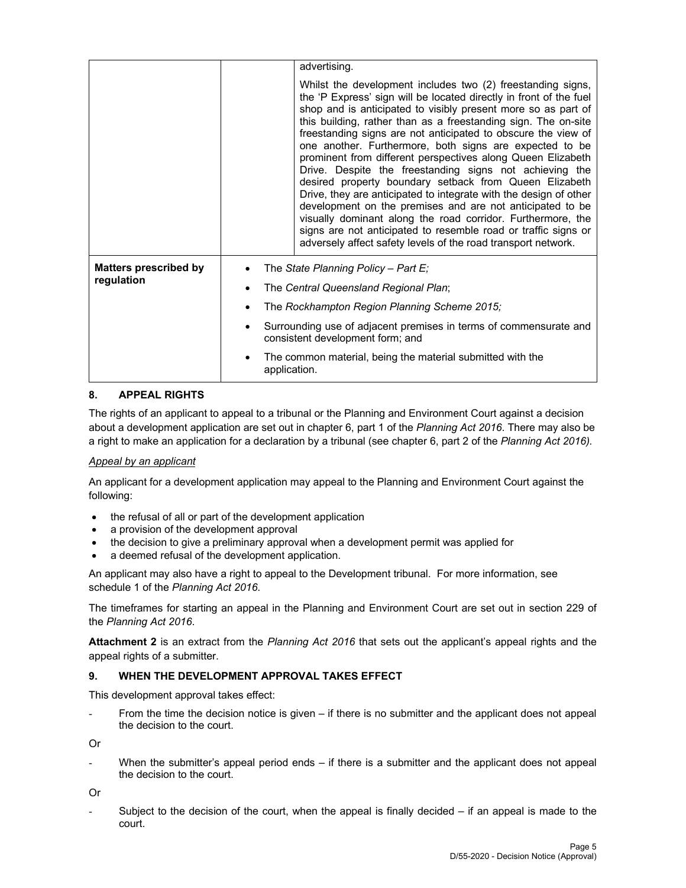|                                            | advertising.                                                                                                                                                                                                                                                                                                                                                                                                                                                                                                                                                                                                                                                                                                                                                                                                                                                                                                             |
|--------------------------------------------|--------------------------------------------------------------------------------------------------------------------------------------------------------------------------------------------------------------------------------------------------------------------------------------------------------------------------------------------------------------------------------------------------------------------------------------------------------------------------------------------------------------------------------------------------------------------------------------------------------------------------------------------------------------------------------------------------------------------------------------------------------------------------------------------------------------------------------------------------------------------------------------------------------------------------|
|                                            | Whilst the development includes two (2) freestanding signs,<br>the 'P Express' sign will be located directly in front of the fuel<br>shop and is anticipated to visibly present more so as part of<br>this building, rather than as a freestanding sign. The on-site<br>freestanding signs are not anticipated to obscure the view of<br>one another. Furthermore, both signs are expected to be<br>prominent from different perspectives along Queen Elizabeth<br>Drive. Despite the freestanding signs not achieving the<br>desired property boundary setback from Queen Elizabeth<br>Drive, they are anticipated to integrate with the design of other<br>development on the premises and are not anticipated to be<br>visually dominant along the road corridor. Furthermore, the<br>signs are not anticipated to resemble road or traffic signs or<br>adversely affect safety levels of the road transport network. |
| <b>Matters prescribed by</b><br>regulation | The State Planning Policy - Part E;<br>$\bullet$<br>The Central Queensland Regional Plan;<br>٠<br>The Rockhampton Region Planning Scheme 2015;<br>$\bullet$<br>Surrounding use of adjacent premises in terms of commensurate and<br>$\bullet$<br>consistent development form; and                                                                                                                                                                                                                                                                                                                                                                                                                                                                                                                                                                                                                                        |
|                                            | The common material, being the material submitted with the<br>$\bullet$<br>application.                                                                                                                                                                                                                                                                                                                                                                                                                                                                                                                                                                                                                                                                                                                                                                                                                                  |

# **8. APPEAL RIGHTS**

The rights of an applicant to appeal to a tribunal or the Planning and Environment Court against a decision about a development application are set out in chapter 6, part 1 of the *Planning Act 2016*. There may also be a right to make an application for a declaration by a tribunal (see chapter 6, part 2 of the *Planning Act 2016).*

## *Appeal by an applicant*

An applicant for a development application may appeal to the Planning and Environment Court against the following:

- the refusal of all or part of the development application
- a provision of the development approval
- the decision to give a preliminary approval when a development permit was applied for
- a deemed refusal of the development application.

An applicant may also have a right to appeal to the Development tribunal. For more information, see schedule 1 of the *Planning Act 2016*.

The timeframes for starting an appeal in the Planning and Environment Court are set out in section 229 of the *Planning Act 2016*.

**Attachment 2** is an extract from the *Planning Act 2016* that sets out the applicant's appeal rights and the appeal rights of a submitter.

### **9. WHEN THE DEVELOPMENT APPROVAL TAKES EFFECT**

This development approval takes effect:

From the time the decision notice is given – if there is no submitter and the applicant does not appeal the decision to the court.

Or

When the submitter's appeal period ends  $-$  if there is a submitter and the applicant does not appeal the decision to the court.

Or

Subject to the decision of the court, when the appeal is finally decided  $-$  if an appeal is made to the court.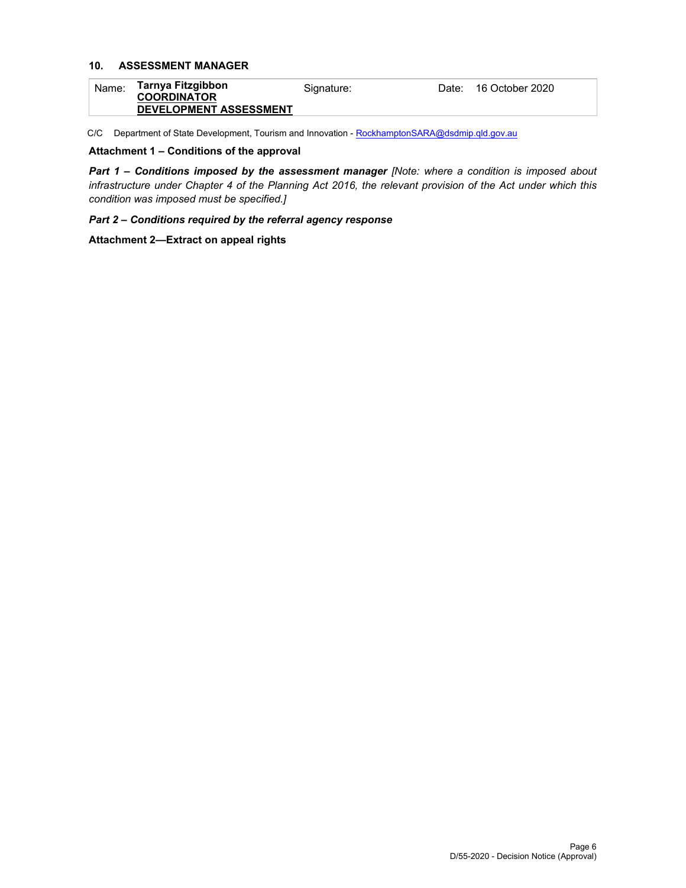# **10. ASSESSMENT MANAGER**

| Name: | Tarnya Fitzgibbon<br><b>COORDINATOR</b> | Signature: | Date: 16 October 2020 |
|-------|-----------------------------------------|------------|-----------------------|
|       | <b>DEVELOPMENT ASSESSMENT</b>           |            |                       |

C/C Department of State Development, Tourism and Innovation - RockhamptonSARA@dsdmip.qld.gov.au

## **Attachment 1 – Conditions of the approval**

*Part 1* **–** *Conditions imposed by the assessment manager [Note: where a condition is imposed about infrastructure under Chapter 4 of the Planning Act 2016, the relevant provision of the Act under which this condition was imposed must be specified.]*

## *Part 2 – Conditions required by the referral agency response*

**Attachment 2—Extract on appeal rights**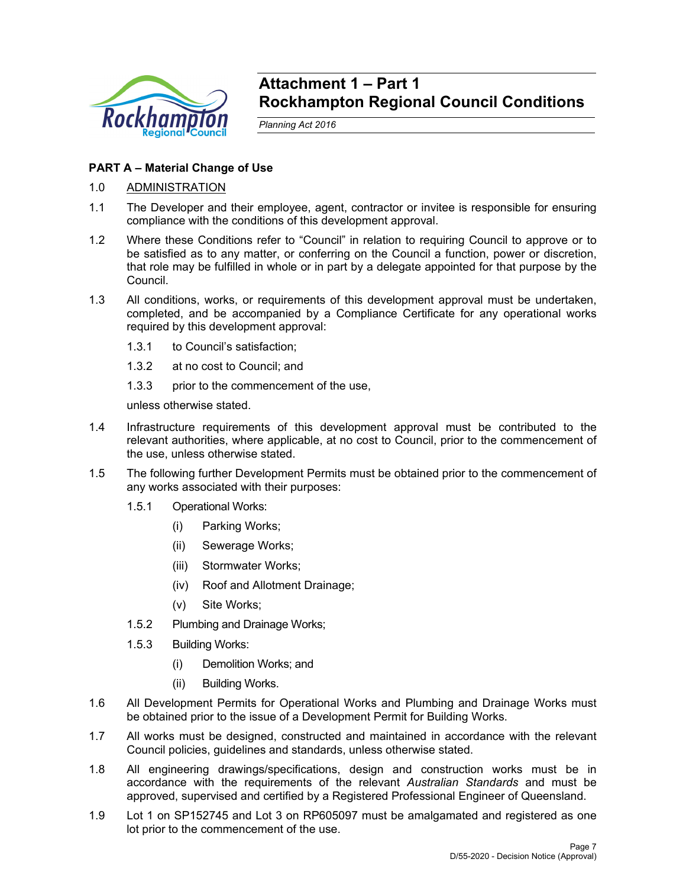

# **Attachment 1 – Part 1 Rockhampton Regional Council Conditions**

*Planning Act 2016* 

# **PART A – Material Change of Use**

- 1.0 ADMINISTRATION
- 1.1 The Developer and their employee, agent, contractor or invitee is responsible for ensuring compliance with the conditions of this development approval.
- 1.2 Where these Conditions refer to "Council" in relation to requiring Council to approve or to be satisfied as to any matter, or conferring on the Council a function, power or discretion, that role may be fulfilled in whole or in part by a delegate appointed for that purpose by the Council.
- 1.3 All conditions, works, or requirements of this development approval must be undertaken, completed, and be accompanied by a Compliance Certificate for any operational works required by this development approval:
	- 1.3.1 to Council's satisfaction;
	- 1.3.2 at no cost to Council; and
	- 1.3.3 prior to the commencement of the use,

unless otherwise stated.

- 1.4 Infrastructure requirements of this development approval must be contributed to the relevant authorities, where applicable, at no cost to Council, prior to the commencement of the use, unless otherwise stated.
- 1.5 The following further Development Permits must be obtained prior to the commencement of any works associated with their purposes:
	- 1.5.1 Operational Works:
		- (i) Parking Works;
		- (ii) Sewerage Works;
		- (iii) Stormwater Works;
		- (iv) Roof and Allotment Drainage;
		- (v) Site Works;
	- 1.5.2 Plumbing and Drainage Works;
	- 1.5.3 Building Works:
		- (i) Demolition Works; and
		- (ii) Building Works.
- 1.6 All Development Permits for Operational Works and Plumbing and Drainage Works must be obtained prior to the issue of a Development Permit for Building Works.
- 1.7 All works must be designed, constructed and maintained in accordance with the relevant Council policies, guidelines and standards, unless otherwise stated.
- 1.8 All engineering drawings/specifications, design and construction works must be in accordance with the requirements of the relevant *Australian Standards* and must be approved, supervised and certified by a Registered Professional Engineer of Queensland.
- 1.9 Lot 1 on SP152745 and Lot 3 on RP605097 must be amalgamated and registered as one lot prior to the commencement of the use.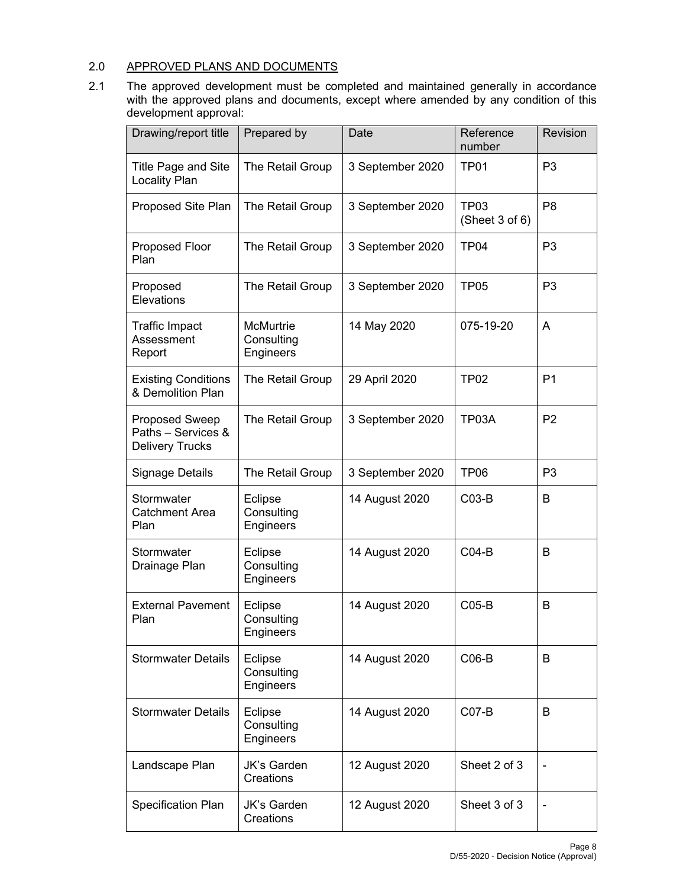# 2.0 APPROVED PLANS AND DOCUMENTS

2.1 The approved development must be completed and maintained generally in accordance with the approved plans and documents, except where amended by any condition of this development approval:

| Drawing/report title                                                  | Prepared by                          | Date             | Reference<br>number                | Revision       |
|-----------------------------------------------------------------------|--------------------------------------|------------------|------------------------------------|----------------|
| Title Page and Site<br>Locality Plan                                  | The Retail Group                     | 3 September 2020 | TP <sub>01</sub>                   | P <sub>3</sub> |
| Proposed Site Plan                                                    | The Retail Group                     | 3 September 2020 | TP <sub>03</sub><br>(Sheet 3 of 6) | P <sub>8</sub> |
| Proposed Floor<br>Plan                                                | The Retail Group                     | 3 September 2020 | TP <sub>04</sub>                   | P <sub>3</sub> |
| Proposed<br>Elevations                                                | The Retail Group                     | 3 September 2020 | <b>TP05</b>                        | P <sub>3</sub> |
| <b>Traffic Impact</b><br>Assessment<br>Report                         | McMurtrie<br>Consulting<br>Engineers | 14 May 2020      | 075-19-20                          | Α              |
| <b>Existing Conditions</b><br>& Demolition Plan                       | The Retail Group                     | 29 April 2020    | <b>TP02</b>                        | P <sub>1</sub> |
| <b>Proposed Sweep</b><br>Paths - Services &<br><b>Delivery Trucks</b> | The Retail Group                     | 3 September 2020 | TP03A                              | P <sub>2</sub> |
| <b>Signage Details</b>                                                | The Retail Group                     | 3 September 2020 | TP <sub>06</sub>                   | P <sub>3</sub> |
| Stormwater<br><b>Catchment Area</b><br>Plan                           | Eclipse<br>Consulting<br>Engineers   | 14 August 2020   | $CO3-B$                            | В              |
| Stormwater<br>Drainage Plan                                           | Eclipse<br>Consulting<br>Engineers   | 14 August 2020   | $CO4-B$                            | B              |
| <b>External Pavement</b><br>Plan                                      | Eclipse<br>Consulting<br>Engineers   | 14 August 2020   | $CO5-B$                            | B              |
| <b>Stormwater Details</b>                                             | Eclipse<br>Consulting<br>Engineers   | 14 August 2020   | $CO6-B$                            | B              |
| <b>Stormwater Details</b>                                             | Eclipse<br>Consulting<br>Engineers   | 14 August 2020   | $CO7-B$                            | B              |
| Landscape Plan                                                        | <b>JK's Garden</b><br>Creations      | 12 August 2020   | Sheet 2 of 3                       |                |
| Specification Plan                                                    | <b>JK's Garden</b><br>Creations      | 12 August 2020   | Sheet 3 of 3                       |                |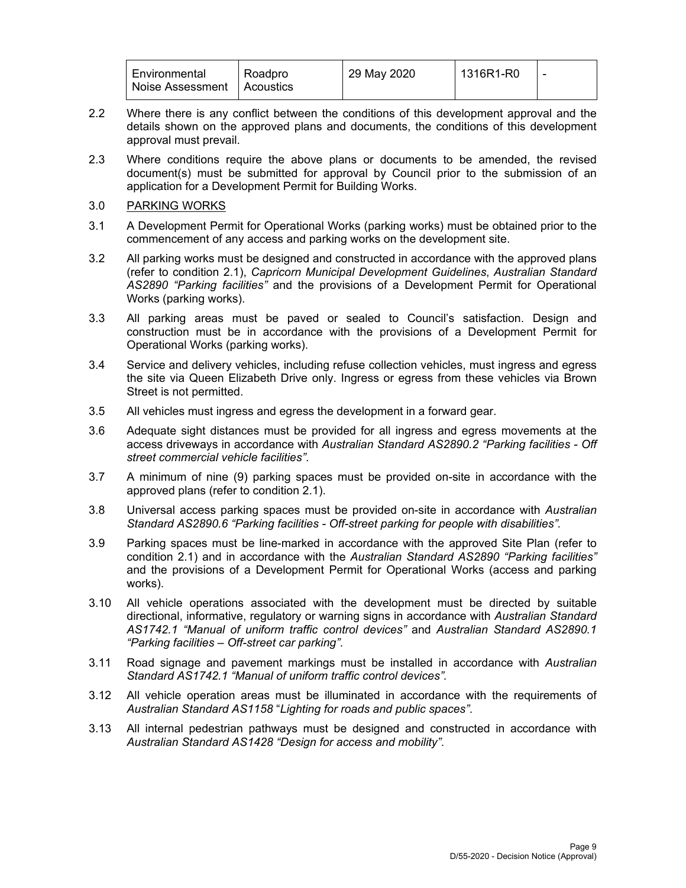| l Environmental<br>Roadpro<br>Noise Assessment<br>Acoustics | 29 May 2020 | 1316R1-R0 | $\overline{\phantom{a}}$ |
|-------------------------------------------------------------|-------------|-----------|--------------------------|
|-------------------------------------------------------------|-------------|-----------|--------------------------|

- 2.2 Where there is any conflict between the conditions of this development approval and the details shown on the approved plans and documents, the conditions of this development approval must prevail.
- 2.3 Where conditions require the above plans or documents to be amended, the revised document(s) must be submitted for approval by Council prior to the submission of an application for a Development Permit for Building Works.

# 3.0 PARKING WORKS

- 3.1 A Development Permit for Operational Works (parking works) must be obtained prior to the commencement of any access and parking works on the development site.
- 3.2 All parking works must be designed and constructed in accordance with the approved plans (refer to condition 2.1), *Capricorn Municipal Development Guidelines*, *Australian Standard AS2890 "Parking facilities"* and the provisions of a Development Permit for Operational Works (parking works).
- 3.3 All parking areas must be paved or sealed to Council's satisfaction. Design and construction must be in accordance with the provisions of a Development Permit for Operational Works (parking works).
- 3.4 Service and delivery vehicles, including refuse collection vehicles, must ingress and egress the site via Queen Elizabeth Drive only. Ingress or egress from these vehicles via Brown Street is not permitted.
- 3.5 All vehicles must ingress and egress the development in a forward gear.
- 3.6 Adequate sight distances must be provided for all ingress and egress movements at the access driveways in accordance with *Australian Standard AS2890.2 "Parking facilities - Off street commercial vehicle facilities"*.
- 3.7 A minimum of nine (9) parking spaces must be provided on-site in accordance with the approved plans (refer to condition 2.1).
- 3.8 Universal access parking spaces must be provided on-site in accordance with *Australian Standard AS2890.6 "Parking facilities - Off-street parking for people with disabilities".*
- 3.9 Parking spaces must be line-marked in accordance with the approved Site Plan (refer to condition 2.1) and in accordance with the *Australian Standard AS2890 "Parking facilities"* and the provisions of a Development Permit for Operational Works (access and parking works).
- 3.10 All vehicle operations associated with the development must be directed by suitable directional, informative, regulatory or warning signs in accordance with *Australian Standard AS1742.1 "Manual of uniform traffic control devices"* and *Australian Standard AS2890.1 "Parking facilities – Off-street car parking"*.
- 3.11 Road signage and pavement markings must be installed in accordance with *Australian Standard AS1742.1 "Manual of uniform traffic control devices".*
- 3.12 All vehicle operation areas must be illuminated in accordance with the requirements of *Australian Standard AS1158* "*Lighting for roads and public spaces"*.
- 3.13 All internal pedestrian pathways must be designed and constructed in accordance with *Australian Standard AS1428 "Design for access and mobility"*.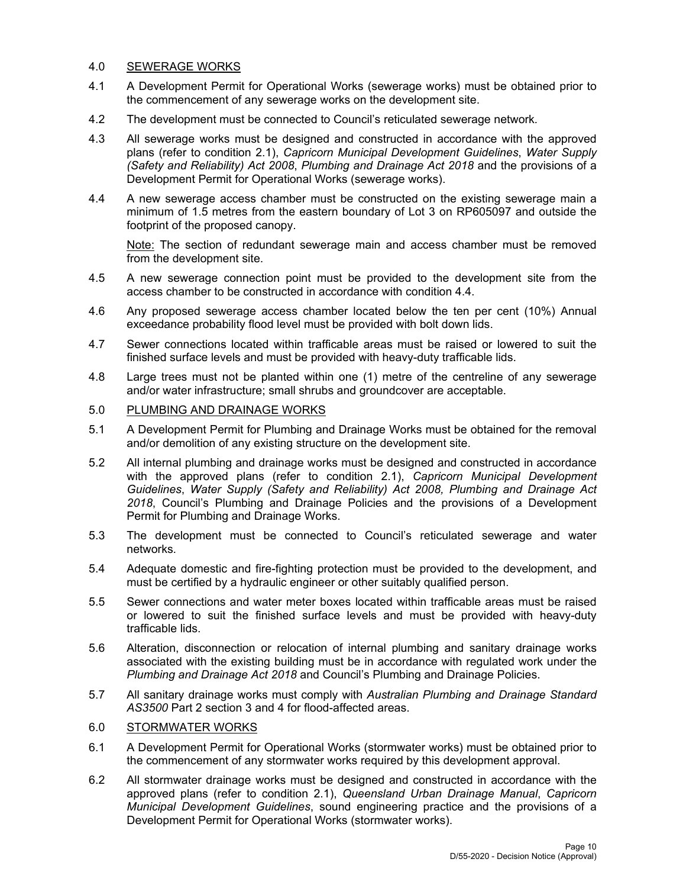# 4.0 SEWERAGE WORKS

- 4.1 A Development Permit for Operational Works (sewerage works) must be obtained prior to the commencement of any sewerage works on the development site.
- 4.2 The development must be connected to Council's reticulated sewerage network*.*
- 4.3 All sewerage works must be designed and constructed in accordance with the approved plans (refer to condition 2.1), *Capricorn Municipal Development Guidelines*, *Water Supply (Safety and Reliability) Act 2008*, *Plumbing and Drainage Act 2018* and the provisions of a Development Permit for Operational Works (sewerage works).
- 4.4 A new sewerage access chamber must be constructed on the existing sewerage main a minimum of 1.5 metres from the eastern boundary of Lot 3 on RP605097 and outside the footprint of the proposed canopy.

Note: The section of redundant sewerage main and access chamber must be removed from the development site.

- 4.5 A new sewerage connection point must be provided to the development site from the access chamber to be constructed in accordance with condition 4.4.
- 4.6 Any proposed sewerage access chamber located below the ten per cent (10%) Annual exceedance probability flood level must be provided with bolt down lids.
- 4.7 Sewer connections located within trafficable areas must be raised or lowered to suit the finished surface levels and must be provided with heavy-duty trafficable lids.
- 4.8 Large trees must not be planted within one (1) metre of the centreline of any sewerage and/or water infrastructure; small shrubs and groundcover are acceptable.

# 5.0 PLUMBING AND DRAINAGE WORKS

- 5.1 A Development Permit for Plumbing and Drainage Works must be obtained for the removal and/or demolition of any existing structure on the development site.
- 5.2 All internal plumbing and drainage works must be designed and constructed in accordance with the approved plans (refer to condition 2.1), *Capricorn Municipal Development Guidelines*, *Water Supply (Safety and Reliability) Act 2008, Plumbing and Drainage Act 2018*, Council's Plumbing and Drainage Policies and the provisions of a Development Permit for Plumbing and Drainage Works.
- 5.3 The development must be connected to Council's reticulated sewerage and water networks.
- 5.4 Adequate domestic and fire-fighting protection must be provided to the development, and must be certified by a hydraulic engineer or other suitably qualified person.
- 5.5 Sewer connections and water meter boxes located within trafficable areas must be raised or lowered to suit the finished surface levels and must be provided with heavy-duty trafficable lids.
- 5.6 Alteration, disconnection or relocation of internal plumbing and sanitary drainage works associated with the existing building must be in accordance with regulated work under the *Plumbing and Drainage Act 2018* and Council's Plumbing and Drainage Policies.
- 5.7 All sanitary drainage works must comply with *Australian Plumbing and Drainage Standard AS3500* Part 2 section 3 and 4 for flood-affected areas.

# 6.0 STORMWATER WORKS

- 6.1 A Development Permit for Operational Works (stormwater works) must be obtained prior to the commencement of any stormwater works required by this development approval.
- 6.2 All stormwater drainage works must be designed and constructed in accordance with the approved plans (refer to condition 2.1), *Queensland Urban Drainage Manual*, *Capricorn Municipal Development Guidelines*, sound engineering practice and the provisions of a Development Permit for Operational Works (stormwater works).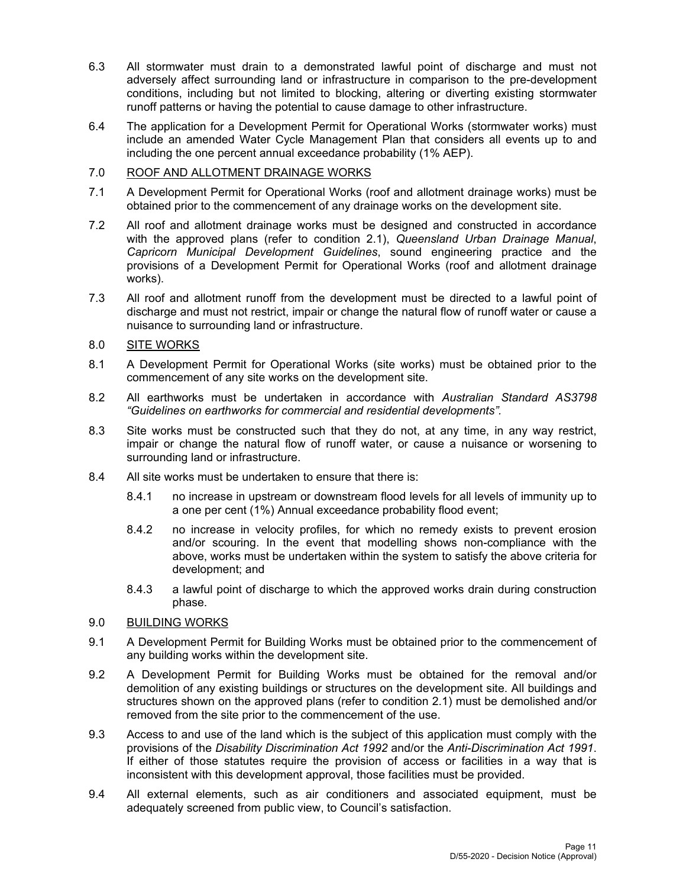- 6.3 All stormwater must drain to a demonstrated lawful point of discharge and must not adversely affect surrounding land or infrastructure in comparison to the pre-development conditions, including but not limited to blocking, altering or diverting existing stormwater runoff patterns or having the potential to cause damage to other infrastructure.
- 6.4 The application for a Development Permit for Operational Works (stormwater works) must include an amended Water Cycle Management Plan that considers all events up to and including the one percent annual exceedance probability (1% AEP).

# 7.0 ROOF AND ALLOTMENT DRAINAGE WORKS

- 7.1 A Development Permit for Operational Works (roof and allotment drainage works) must be obtained prior to the commencement of any drainage works on the development site.
- 7.2 All roof and allotment drainage works must be designed and constructed in accordance with the approved plans (refer to condition 2.1), *Queensland Urban Drainage Manual*, *Capricorn Municipal Development Guidelines*, sound engineering practice and the provisions of a Development Permit for Operational Works (roof and allotment drainage works).
- 7.3 All roof and allotment runoff from the development must be directed to a lawful point of discharge and must not restrict, impair or change the natural flow of runoff water or cause a nuisance to surrounding land or infrastructure.

# 8.0 SITE WORKS

- 8.1 A Development Permit for Operational Works (site works) must be obtained prior to the commencement of any site works on the development site.
- 8.2 All earthworks must be undertaken in accordance with *Australian Standard AS3798 "Guidelines on earthworks for commercial and residential developments".*
- 8.3 Site works must be constructed such that they do not, at any time, in any way restrict, impair or change the natural flow of runoff water, or cause a nuisance or worsening to surrounding land or infrastructure.
- 8.4 All site works must be undertaken to ensure that there is:
	- 8.4.1 no increase in upstream or downstream flood levels for all levels of immunity up to a one per cent (1%) Annual exceedance probability flood event;
	- 8.4.2 no increase in velocity profiles, for which no remedy exists to prevent erosion and/or scouring. In the event that modelling shows non-compliance with the above, works must be undertaken within the system to satisfy the above criteria for development; and
	- 8.4.3 a lawful point of discharge to which the approved works drain during construction phase.
- 9.0 BUILDING WORKS
- 9.1 A Development Permit for Building Works must be obtained prior to the commencement of any building works within the development site.
- 9.2 A Development Permit for Building Works must be obtained for the removal and/or demolition of any existing buildings or structures on the development site. All buildings and structures shown on the approved plans (refer to condition 2.1) must be demolished and/or removed from the site prior to the commencement of the use.
- 9.3 Access to and use of the land which is the subject of this application must comply with the provisions of the *Disability Discrimination Act 1992* and/or the *Anti-Discrimination Act 1991*. If either of those statutes require the provision of access or facilities in a way that is inconsistent with this development approval, those facilities must be provided.
- 9.4 All external elements, such as air conditioners and associated equipment, must be adequately screened from public view, to Council's satisfaction.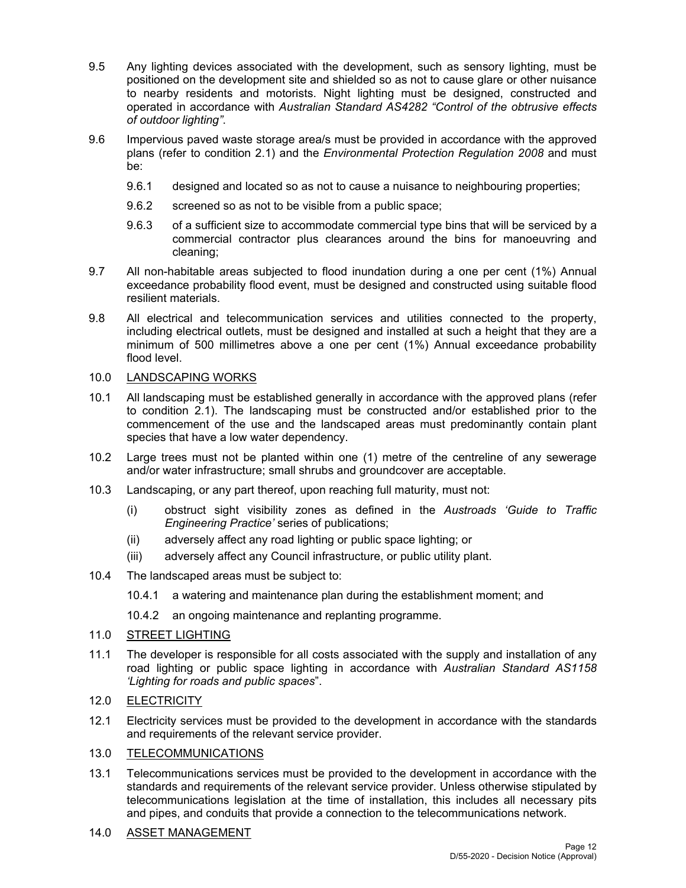- 9.5 Any lighting devices associated with the development, such as sensory lighting, must be positioned on the development site and shielded so as not to cause glare or other nuisance to nearby residents and motorists. Night lighting must be designed, constructed and operated in accordance with *Australian Standard AS4282 "Control of the obtrusive effects of outdoor lighting"*.
- 9.6 Impervious paved waste storage area/s must be provided in accordance with the approved plans (refer to condition 2.1) and the *Environmental Protection Regulation 2008* and must be:
	- 9.6.1 designed and located so as not to cause a nuisance to neighbouring properties;
	- 9.6.2 screened so as not to be visible from a public space;
	- 9.6.3 of a sufficient size to accommodate commercial type bins that will be serviced by a commercial contractor plus clearances around the bins for manoeuvring and cleaning;
- 9.7 All non-habitable areas subjected to flood inundation during a one per cent (1%) Annual exceedance probability flood event, must be designed and constructed using suitable flood resilient materials.
- 9.8 All electrical and telecommunication services and utilities connected to the property, including electrical outlets, must be designed and installed at such a height that they are a minimum of 500 millimetres above a one per cent (1%) Annual exceedance probability flood level.

# 10.0 LANDSCAPING WORKS

- 10.1 All landscaping must be established generally in accordance with the approved plans (refer to condition 2.1). The landscaping must be constructed and/or established prior to the commencement of the use and the landscaped areas must predominantly contain plant species that have a low water dependency.
- 10.2 Large trees must not be planted within one (1) metre of the centreline of any sewerage and/or water infrastructure; small shrubs and groundcover are acceptable.
- 10.3 Landscaping, or any part thereof, upon reaching full maturity, must not:
	- (i) obstruct sight visibility zones as defined in the *Austroads 'Guide to Traffic Engineering Practice'* series of publications;
	- (ii) adversely affect any road lighting or public space lighting; or
	- (iii) adversely affect any Council infrastructure, or public utility plant.
- 10.4 The landscaped areas must be subject to:
	- 10.4.1 a watering and maintenance plan during the establishment moment; and
	- 10.4.2 an ongoing maintenance and replanting programme.

# 11.0 STREET LIGHTING

11.1 The developer is responsible for all costs associated with the supply and installation of any road lighting or public space lighting in accordance with *Australian Standard AS1158 'Lighting for roads and public spaces*".

## 12.0 ELECTRICITY

12.1 Electricity services must be provided to the development in accordance with the standards and requirements of the relevant service provider.

# 13.0 TELECOMMUNICATIONS

13.1 Telecommunications services must be provided to the development in accordance with the standards and requirements of the relevant service provider. Unless otherwise stipulated by telecommunications legislation at the time of installation, this includes all necessary pits and pipes, and conduits that provide a connection to the telecommunications network.

# 14.0 ASSET MANAGEMENT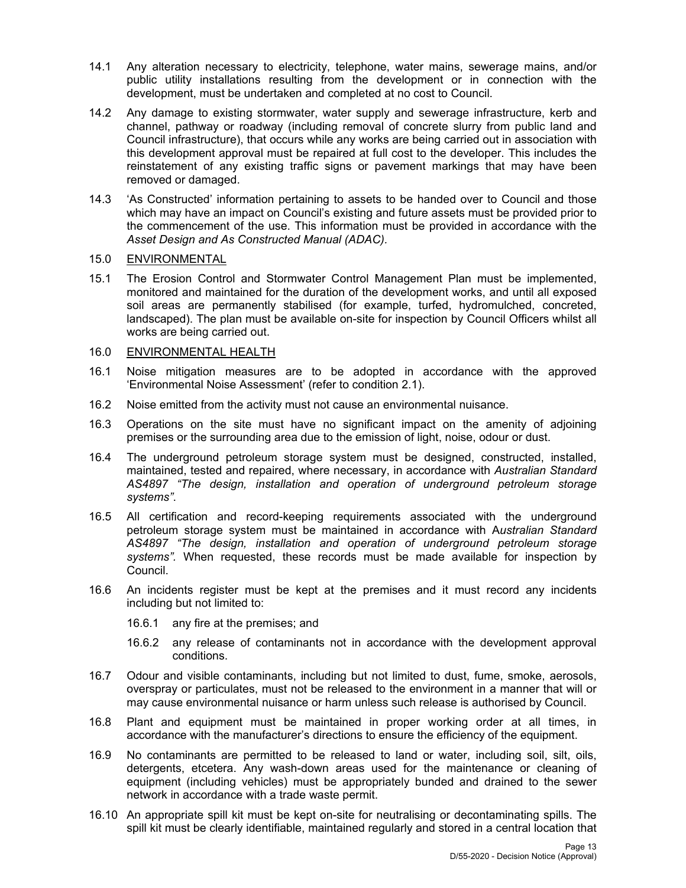- 14.1 Any alteration necessary to electricity, telephone, water mains, sewerage mains, and/or public utility installations resulting from the development or in connection with the development, must be undertaken and completed at no cost to Council.
- 14.2 Any damage to existing stormwater, water supply and sewerage infrastructure, kerb and channel, pathway or roadway (including removal of concrete slurry from public land and Council infrastructure), that occurs while any works are being carried out in association with this development approval must be repaired at full cost to the developer. This includes the reinstatement of any existing traffic signs or pavement markings that may have been removed or damaged.
- 14.3 'As Constructed' information pertaining to assets to be handed over to Council and those which may have an impact on Council's existing and future assets must be provided prior to the commencement of the use. This information must be provided in accordance with the *Asset Design and As Constructed Manual (ADAC).*

# 15.0 ENVIRONMENTAL

15.1 The Erosion Control and Stormwater Control Management Plan must be implemented, monitored and maintained for the duration of the development works, and until all exposed soil areas are permanently stabilised (for example, turfed, hydromulched, concreted, landscaped). The plan must be available on-site for inspection by Council Officers whilst all works are being carried out.

# 16.0 ENVIRONMENTAL HEALTH

- 16.1 Noise mitigation measures are to be adopted in accordance with the approved 'Environmental Noise Assessment' (refer to condition 2.1).
- 16.2 Noise emitted from the activity must not cause an environmental nuisance.
- 16.3 Operations on the site must have no significant impact on the amenity of adjoining premises or the surrounding area due to the emission of light, noise, odour or dust.
- 16.4 The underground petroleum storage system must be designed, constructed, installed, maintained, tested and repaired, where necessary, in accordance with *Australian Standard AS4897 "The design, installation and operation of underground petroleum storage systems"*.
- 16.5 All certification and record-keeping requirements associated with the underground petroleum storage system must be maintained in accordance with A*ustralian Standard AS4897 "The design, installation and operation of underground petroleum storage systems".* When requested, these records must be made available for inspection by Council.
- 16.6 An incidents register must be kept at the premises and it must record any incidents including but not limited to:
	- 16.6.1 any fire at the premises; and
	- 16.6.2 any release of contaminants not in accordance with the development approval conditions.
- 16.7 Odour and visible contaminants, including but not limited to dust, fume, smoke, aerosols, overspray or particulates, must not be released to the environment in a manner that will or may cause environmental nuisance or harm unless such release is authorised by Council.
- 16.8 Plant and equipment must be maintained in proper working order at all times, in accordance with the manufacturer's directions to ensure the efficiency of the equipment.
- 16.9 No contaminants are permitted to be released to land or water, including soil, silt, oils, detergents, etcetera. Any wash-down areas used for the maintenance or cleaning of equipment (including vehicles) must be appropriately bunded and drained to the sewer network in accordance with a trade waste permit.
- 16.10 An appropriate spill kit must be kept on-site for neutralising or decontaminating spills. The spill kit must be clearly identifiable, maintained regularly and stored in a central location that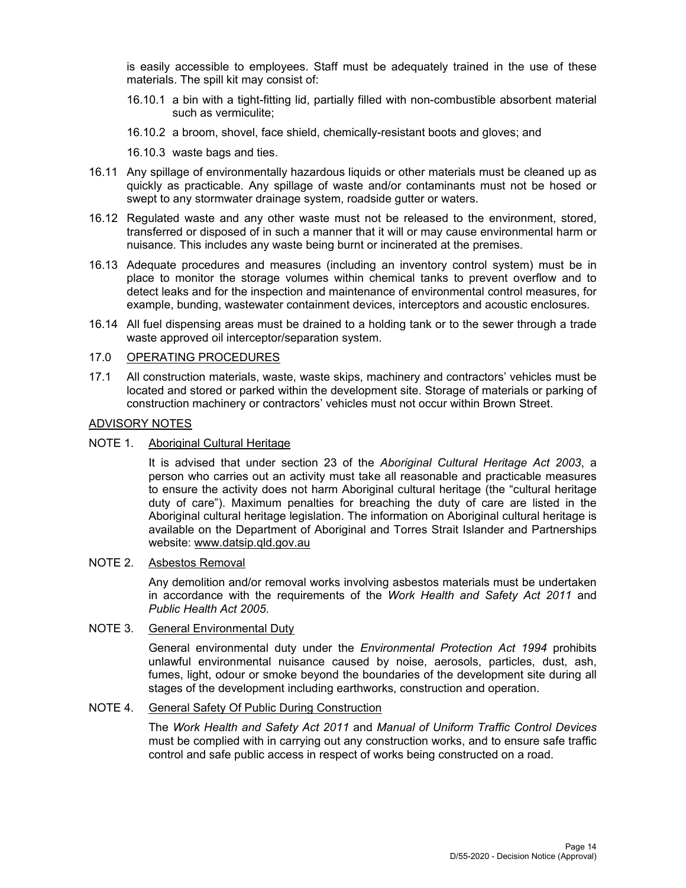is easily accessible to employees. Staff must be adequately trained in the use of these materials. The spill kit may consist of:

- 16.10.1 a bin with a tight-fitting lid, partially filled with non-combustible absorbent material such as vermiculite;
- 16.10.2 a broom, shovel, face shield, chemically-resistant boots and gloves; and
- 16.10.3 waste bags and ties.
- 16.11 Any spillage of environmentally hazardous liquids or other materials must be cleaned up as quickly as practicable. Any spillage of waste and/or contaminants must not be hosed or swept to any stormwater drainage system, roadside gutter or waters.
- 16.12 Regulated waste and any other waste must not be released to the environment, stored, transferred or disposed of in such a manner that it will or may cause environmental harm or nuisance. This includes any waste being burnt or incinerated at the premises.
- 16.13 Adequate procedures and measures (including an inventory control system) must be in place to monitor the storage volumes within chemical tanks to prevent overflow and to detect leaks and for the inspection and maintenance of environmental control measures, for example, bunding, wastewater containment devices, interceptors and acoustic enclosures.
- 16.14 All fuel dispensing areas must be drained to a holding tank or to the sewer through a trade waste approved oil interceptor/separation system.

# 17.0 OPERATING PROCEDURES

17.1 All construction materials, waste, waste skips, machinery and contractors' vehicles must be located and stored or parked within the development site. Storage of materials or parking of construction machinery or contractors' vehicles must not occur within Brown Street.

## ADVISORY NOTES

NOTE 1. Aboriginal Cultural Heritage

It is advised that under section 23 of the *Aboriginal Cultural Heritage Act 2003*, a person who carries out an activity must take all reasonable and practicable measures to ensure the activity does not harm Aboriginal cultural heritage (the "cultural heritage duty of care"). Maximum penalties for breaching the duty of care are listed in the Aboriginal cultural heritage legislation. The information on Aboriginal cultural heritage is available on the Department of Aboriginal and Torres Strait Islander and Partnerships website: www.datsip.qld.gov.au

### NOTE 2. Asbestos Removal

Any demolition and/or removal works involving asbestos materials must be undertaken in accordance with the requirements of the *Work Health and Safety Act 2011* and *Public Health Act 2005*.

# NOTE 3. General Environmental Duty

General environmental duty under the *Environmental Protection Act 1994* prohibits unlawful environmental nuisance caused by noise, aerosols, particles, dust, ash, fumes, light, odour or smoke beyond the boundaries of the development site during all stages of the development including earthworks, construction and operation.

# NOTE 4. General Safety Of Public During Construction

The *Work Health and Safety Act 2011* and *Manual of Uniform Traffic Control Devices* must be complied with in carrying out any construction works, and to ensure safe traffic control and safe public access in respect of works being constructed on a road.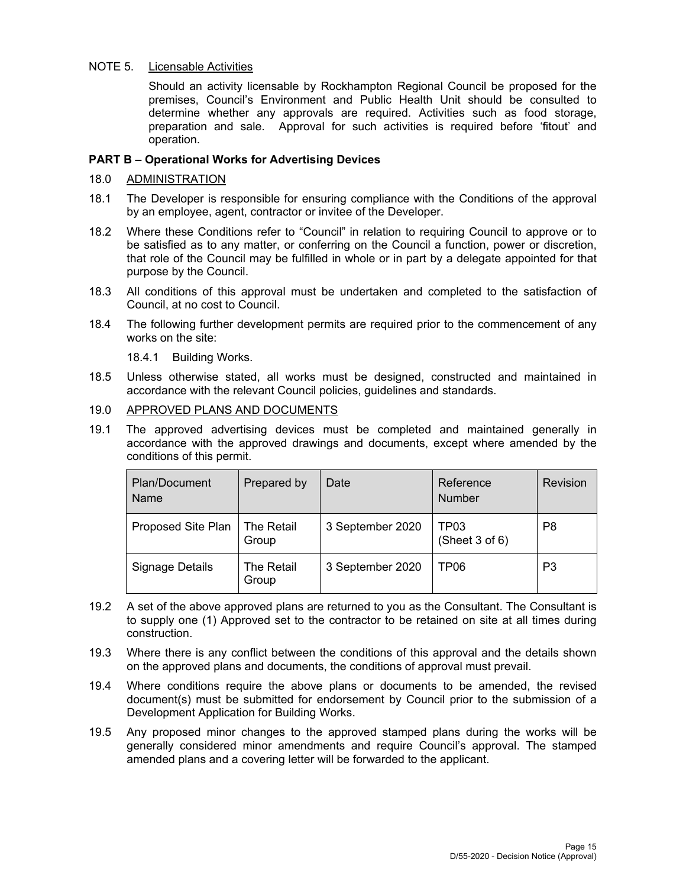# NOTE 5. Licensable Activities

Should an activity licensable by Rockhampton Regional Council be proposed for the premises, Council's Environment and Public Health Unit should be consulted to determine whether any approvals are required. Activities such as food storage, preparation and sale. Approval for such activities is required before 'fitout' and operation.

# **PART B – Operational Works for Advertising Devices**

# 18.0 ADMINISTRATION

- 18.1 The Developer is responsible for ensuring compliance with the Conditions of the approval by an employee, agent, contractor or invitee of the Developer.
- 18.2 Where these Conditions refer to "Council" in relation to requiring Council to approve or to be satisfied as to any matter, or conferring on the Council a function, power or discretion, that role of the Council may be fulfilled in whole or in part by a delegate appointed for that purpose by the Council.
- 18.3 All conditions of this approval must be undertaken and completed to the satisfaction of Council, at no cost to Council.
- 18.4 The following further development permits are required prior to the commencement of any works on the site:

18.4.1 Building Works.

18.5 Unless otherwise stated, all works must be designed, constructed and maintained in accordance with the relevant Council policies, guidelines and standards.

## 19.0 APPROVED PLANS AND DOCUMENTS

19.1 The approved advertising devices must be completed and maintained generally in accordance with the approved drawings and documents, except where amended by the conditions of this permit.

| Plan/Document<br><b>Name</b> | Prepared by         | Date             | Reference<br><b>Number</b>              | Revision |
|------------------------------|---------------------|------------------|-----------------------------------------|----------|
| Proposed Site Plan           | The Retail<br>Group | 3 September 2020 | TP <sub>03</sub><br>(Sheet $3$ of $6$ ) | P8       |
| Signage Details              | The Retail<br>Group | 3 September 2020 | TP06                                    | P3       |

- 19.2 A set of the above approved plans are returned to you as the Consultant. The Consultant is to supply one (1) Approved set to the contractor to be retained on site at all times during construction.
- 19.3 Where there is any conflict between the conditions of this approval and the details shown on the approved plans and documents, the conditions of approval must prevail.
- 19.4 Where conditions require the above plans or documents to be amended, the revised document(s) must be submitted for endorsement by Council prior to the submission of a Development Application for Building Works.
- 19.5 Any proposed minor changes to the approved stamped plans during the works will be generally considered minor amendments and require Council's approval. The stamped amended plans and a covering letter will be forwarded to the applicant.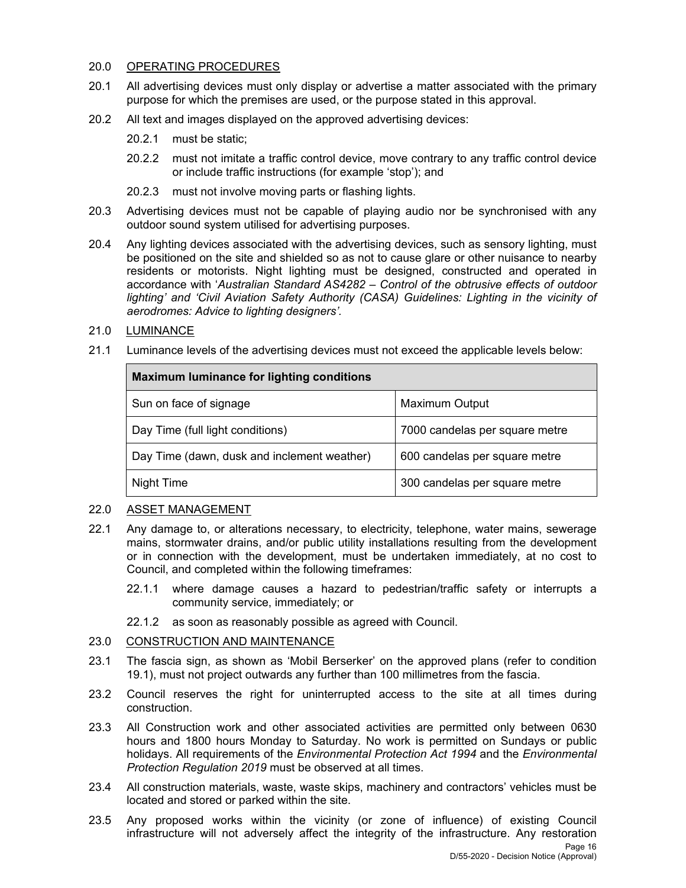# 20.0 OPERATING PROCEDURES

- 20.1 All advertising devices must only display or advertise a matter associated with the primary purpose for which the premises are used, or the purpose stated in this approval.
- 20.2 All text and images displayed on the approved advertising devices:
	- 20.2.1 must be static;
	- 20.2.2 must not imitate a traffic control device, move contrary to any traffic control device or include traffic instructions (for example 'stop'); and
	- 20.2.3 must not involve moving parts or flashing lights.
- 20.3 Advertising devices must not be capable of playing audio nor be synchronised with any outdoor sound system utilised for advertising purposes.
- 20.4 Any lighting devices associated with the advertising devices, such as sensory lighting, must be positioned on the site and shielded so as not to cause glare or other nuisance to nearby residents or motorists. Night lighting must be designed, constructed and operated in accordance with '*Australian Standard AS4282 – Control of the obtrusive effects of outdoor*  lighting' and 'Civil Aviation Safety Authority (CASA) Guidelines: Lighting in the vicinity of *aerodromes: Advice to lighting designers'.*
- 21.0 LUMINANCE
- 21.1 Luminance levels of the advertising devices must not exceed the applicable levels below:

| <b>Maximum luminance for lighting conditions</b> |                                |  |  |  |
|--------------------------------------------------|--------------------------------|--|--|--|
| Sun on face of signage                           | Maximum Output                 |  |  |  |
| Day Time (full light conditions)                 | 7000 candelas per square metre |  |  |  |
| Day Time (dawn, dusk and inclement weather)      | 600 candelas per square metre  |  |  |  |
| Night Time                                       | 300 candelas per square metre  |  |  |  |

# 22.0 ASSET MANAGEMENT

- 22.1 Any damage to, or alterations necessary, to electricity, telephone, water mains, sewerage mains, stormwater drains, and/or public utility installations resulting from the development or in connection with the development, must be undertaken immediately, at no cost to Council, and completed within the following timeframes:
	- 22.1.1 where damage causes a hazard to pedestrian/traffic safety or interrupts a community service, immediately; or
	- 22.1.2 as soon as reasonably possible as agreed with Council.

# 23.0 CONSTRUCTION AND MAINTENANCE

- 23.1 The fascia sign, as shown as 'Mobil Berserker' on the approved plans (refer to condition 19.1), must not project outwards any further than 100 millimetres from the fascia.
- 23.2 Council reserves the right for uninterrupted access to the site at all times during construction.
- 23.3 All Construction work and other associated activities are permitted only between 0630 hours and 1800 hours Monday to Saturday. No work is permitted on Sundays or public holidays. All requirements of the *Environmental Protection Act 1994* and the *Environmental Protection Regulation 2019* must be observed at all times.
- 23.4 All construction materials, waste, waste skips, machinery and contractors' vehicles must be located and stored or parked within the site.
- 23.5 Any proposed works within the vicinity (or zone of influence) of existing Council infrastructure will not adversely affect the integrity of the infrastructure. Any restoration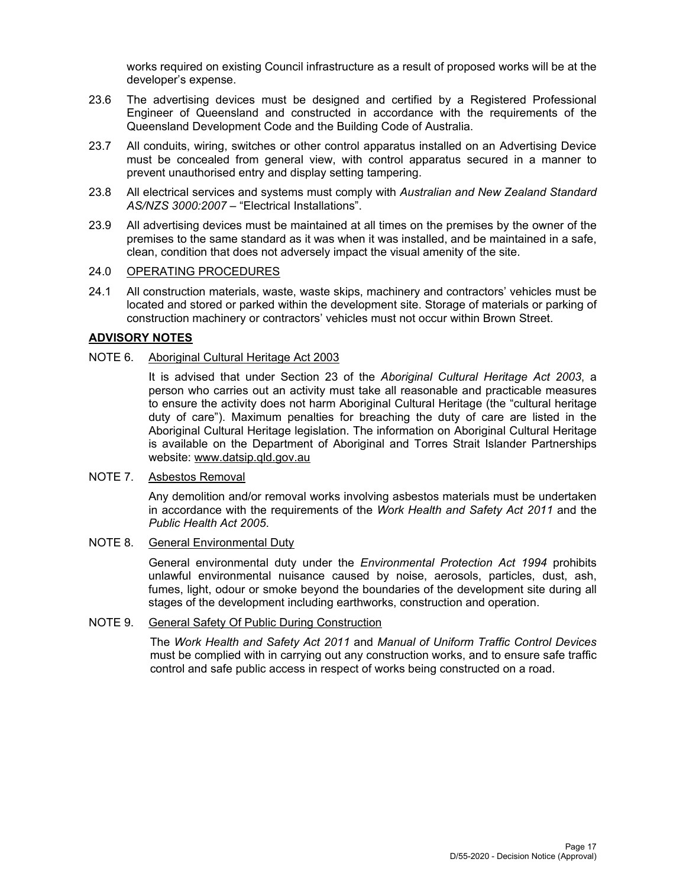works required on existing Council infrastructure as a result of proposed works will be at the developer's expense.

- 23.6 The advertising devices must be designed and certified by a Registered Professional Engineer of Queensland and constructed in accordance with the requirements of the Queensland Development Code and the Building Code of Australia.
- 23.7 All conduits, wiring, switches or other control apparatus installed on an Advertising Device must be concealed from general view, with control apparatus secured in a manner to prevent unauthorised entry and display setting tampering.
- 23.8 All electrical services and systems must comply with *Australian and New Zealand Standard AS/NZS 3000:2007* – "Electrical Installations".
- 23.9 All advertising devices must be maintained at all times on the premises by the owner of the premises to the same standard as it was when it was installed, and be maintained in a safe, clean, condition that does not adversely impact the visual amenity of the site.

# 24.0 OPERATING PROCEDURES

24.1 All construction materials, waste, waste skips, machinery and contractors' vehicles must be located and stored or parked within the development site. Storage of materials or parking of construction machinery or contractors' vehicles must not occur within Brown Street.

# **ADVISORY NOTES**

# NOTE 6. Aboriginal Cultural Heritage Act 2003

It is advised that under Section 23 of the *Aboriginal Cultural Heritage Act 2003*, a person who carries out an activity must take all reasonable and practicable measures to ensure the activity does not harm Aboriginal Cultural Heritage (the "cultural heritage duty of care"). Maximum penalties for breaching the duty of care are listed in the Aboriginal Cultural Heritage legislation. The information on Aboriginal Cultural Heritage is available on the Department of Aboriginal and Torres Strait Islander Partnerships website: www.datsip.qld.gov.au

## NOTE 7. Asbestos Removal

Any demolition and/or removal works involving asbestos materials must be undertaken in accordance with the requirements of the *Work Health and Safety Act 2011* and the *Public Health Act 2005*.

# NOTE 8. General Environmental Duty

General environmental duty under the *Environmental Protection Act 1994* prohibits unlawful environmental nuisance caused by noise, aerosols, particles, dust, ash, fumes, light, odour or smoke beyond the boundaries of the development site during all stages of the development including earthworks, construction and operation.

# NOTE 9. General Safety Of Public During Construction

The *Work Health and Safety Act 2011* and *Manual of Uniform Traffic Control Devices* must be complied with in carrying out any construction works, and to ensure safe traffic control and safe public access in respect of works being constructed on a road.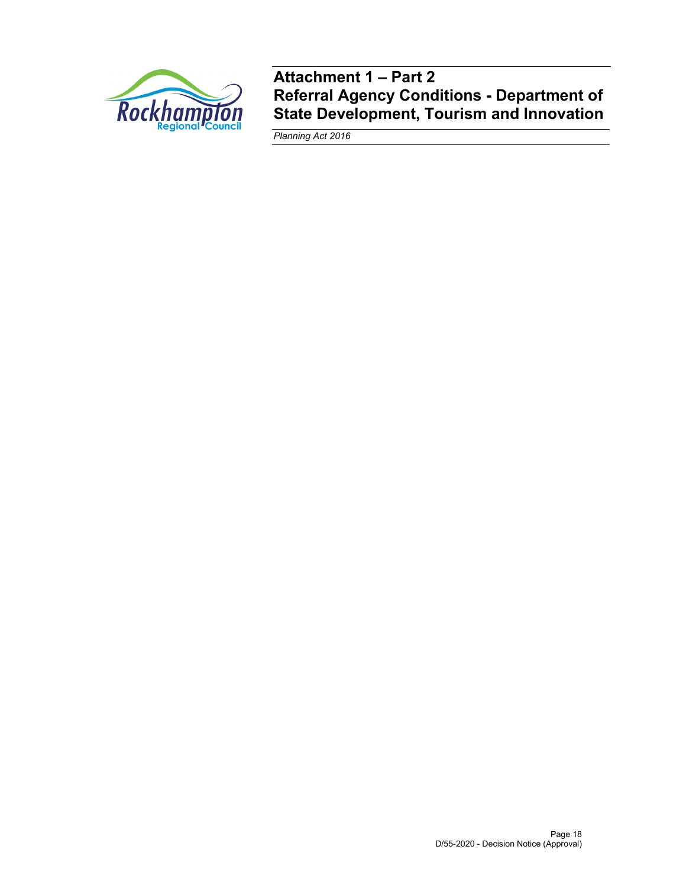

**Attachment 1 – Part 2 Referral Agency Conditions - Department of State Development, Tourism and Innovation** 

*Planning Act 2016*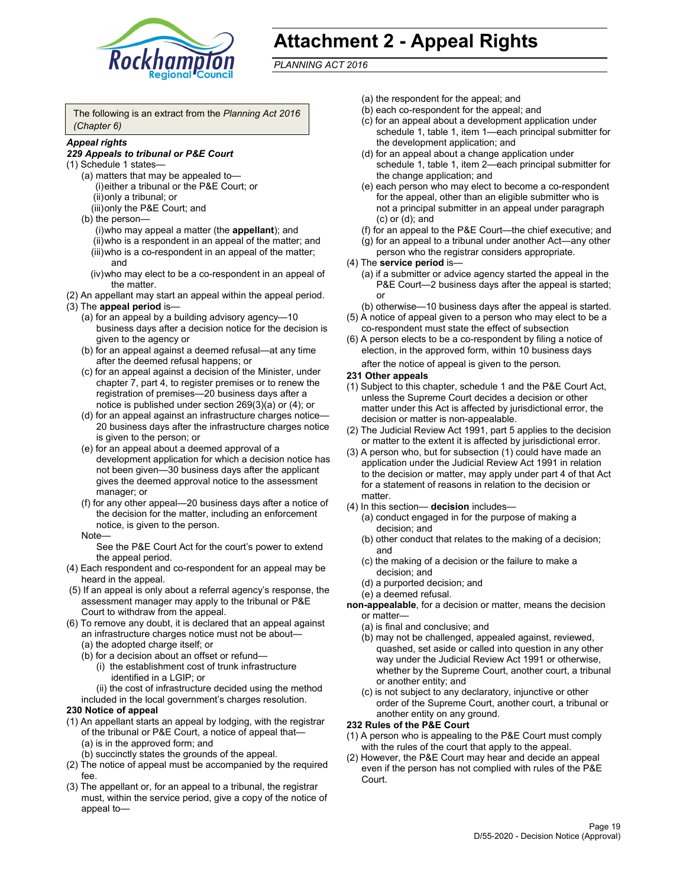

# **Attachment 2 - Appeal Rights**

*PLANNING ACT 2016*

The following is an extract from the *Planning Act 2016 (Chapter 6)*

# *Appeal rights*

## *229 Appeals to tribunal or P&E Court*

- (1) Schedule 1 states—
	- (a) matters that may be appealed to— (i) either a tribunal or the P&E Court; or (ii) only a tribunal; or (iii) only the P&E Court; and
	- (b) the person—
		- (i) who may appeal a matter (the **appellant**); and
		- (ii) who is a respondent in an appeal of the matter; and (iii) who is a co-respondent in an appeal of the matter; and
		- (iv) who may elect to be a co-respondent in an appeal of the matter.
- (2) An appellant may start an appeal within the appeal period.
- (3) The **appeal period** is—
	- (a) for an appeal by a building advisory agency—10 business days after a decision notice for the decision is given to the agency or
	- (b) for an appeal against a deemed refusal—at any time after the deemed refusal happens; or
	- (c) for an appeal against a decision of the Minister, under chapter 7, part 4, to register premises or to renew the registration of premises—20 business days after a notice is published under section 269(3)(a) or (4); or
	- (d) for an appeal against an infrastructure charges notice— 20 business days after the infrastructure charges notice is given to the person; or
	- (e) for an appeal about a deemed approval of a development application for which a decision notice has not been given—30 business days after the applicant gives the deemed approval notice to the assessment manager; or
	- (f) for any other appeal—20 business days after a notice of the decision for the matter, including an enforcement notice, is given to the person.

#### Note—

See the P&E Court Act for the court's power to extend the appeal period.

- (4) Each respondent and co-respondent for an appeal may be heard in the appeal.
- (5) If an appeal is only about a referral agency's response, the assessment manager may apply to the tribunal or P&E Court to withdraw from the appeal.
- (6) To remove any doubt, it is declared that an appeal against an infrastructure charges notice must not be about— (a) the adopted charge itself; or
	- (b) for a decision about an offset or refund—
		- (i) the establishment cost of trunk infrastructure identified in a LGIP; or
		- (ii) the cost of infrastructure decided using the method
	- included in the local government's charges resolution.

## **230 Notice of appeal**

- (1) An appellant starts an appeal by lodging, with the registrar of the tribunal or P&E Court, a notice of appeal that— (a) is in the approved form; and
	- (b) succinctly states the grounds of the appeal.
- (2) The notice of appeal must be accompanied by the required fee.
- (3) The appellant or, for an appeal to a tribunal, the registrar must, within the service period, give a copy of the notice of appeal to—
- (a) the respondent for the appeal; and
- (b) each co-respondent for the appeal; and
- (c) for an appeal about a development application under schedule 1, table 1, item 1—each principal submitter for the development application; and
- (d) for an appeal about a change application under schedule 1, table 1, item 2—each principal submitter for the change application; and
- (e) each person who may elect to become a co-respondent for the appeal, other than an eligible submitter who is not a principal submitter in an appeal under paragraph (c) or (d); and
- (f) for an appeal to the P&E Court—the chief executive; and
- (g) for an appeal to a tribunal under another Act—any other person who the registrar considers appropriate.
- (4) The **service period** is—
	- (a) if a submitter or advice agency started the appeal in the P&E Court-2 business days after the appeal is started; or
	- (b) otherwise—10 business days after the appeal is started.
- (5) A notice of appeal given to a person who may elect to be a co-respondent must state the effect of subsection
- (6) A person elects to be a co-respondent by filing a notice of election, in the approved form, within 10 business days
	- after the notice of appeal is given to the person*.*
- **231 Other appeals**
- (1) Subject to this chapter, schedule 1 and the P&E Court Act, unless the Supreme Court decides a decision or other matter under this Act is affected by jurisdictional error, the decision or matter is non-appealable.
- (2) The Judicial Review Act 1991, part 5 applies to the decision or matter to the extent it is affected by jurisdictional error.
- (3) A person who, but for subsection (1) could have made an application under the Judicial Review Act 1991 in relation to the decision or matter, may apply under part 4 of that Act for a statement of reasons in relation to the decision or matter.
- (4) In this section— **decision** includes—
	- (a) conduct engaged in for the purpose of making a decision; and
	- (b) other conduct that relates to the making of a decision; and
	- (c) the making of a decision or the failure to make a decision; and
	- (d) a purported decision; and
	- (e) a deemed refusal.

**non-appealable**, for a decision or matter, means the decision or matter—

- (a) is final and conclusive; and
- (b) may not be challenged, appealed against, reviewed, quashed, set aside or called into question in any other way under the Judicial Review Act 1991 or otherwise, whether by the Supreme Court, another court, a tribunal or another entity; and
- (c) is not subject to any declaratory, injunctive or other order of the Supreme Court, another court, a tribunal or another entity on any ground.

### **232 Rules of the P&E Court**

- (1) A person who is appealing to the P&E Court must comply with the rules of the court that apply to the appeal.
- (2) However, the P&E Court may hear and decide an appeal even if the person has not complied with rules of the P&E Court.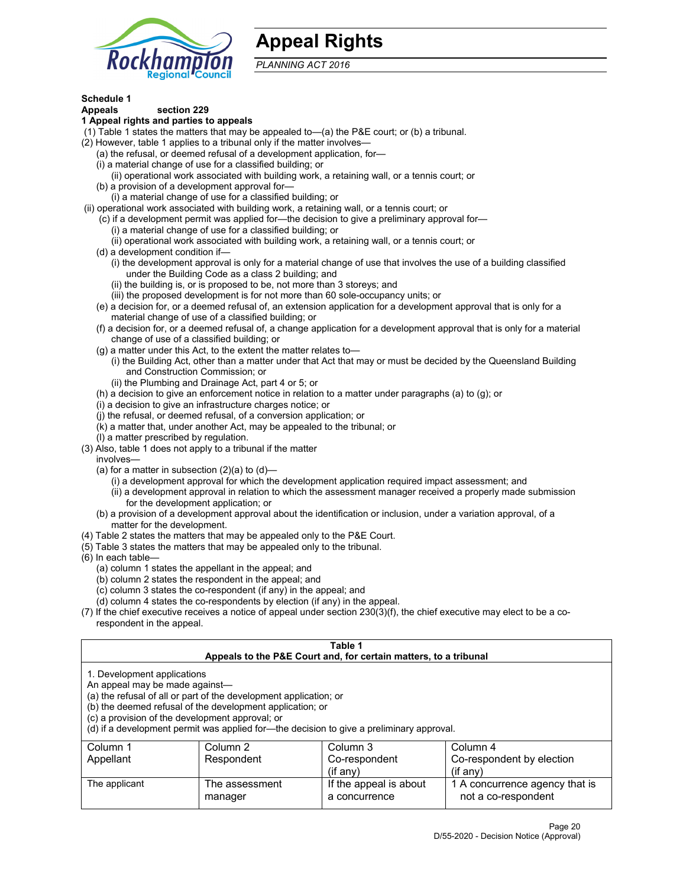

# **Appeal Rights**

*PLANNING ACT 2016*

# **Schedule 1**

# **Appeals section 229**

- **1 Appeal rights and parties to appeals**
- (1) Table 1 states the matters that may be appealed to—(a) the P&E court; or (b) a tribunal.
- (2) However, table 1 applies to a tribunal only if the matter involves—
	- (a) the refusal, or deemed refusal of a development application, for—
	- (i) a material change of use for a classified building; or
	- (ii) operational work associated with building work, a retaining wall, or a tennis court; or
	- (b) a provision of a development approval for—
	- (i) a material change of use for a classified building; or
- (ii) operational work associated with building work, a retaining wall, or a tennis court; or
	- (c) if a development permit was applied for—the decision to give a preliminary approval for— (i) a material change of use for a classified building; or
	- (ii) operational work associated with building work, a retaining wall, or a tennis court; or
	- (d) a development condition if—
		- (i) the development approval is only for a material change of use that involves the use of a building classified under the Building Code as a class 2 building; and
		- (ii) the building is, or is proposed to be, not more than 3 storeys; and
		- (iii) the proposed development is for not more than 60 sole-occupancy units; or
	- (e) a decision for, or a deemed refusal of, an extension application for a development approval that is only for a material change of use of a classified building; or
	- (f) a decision for, or a deemed refusal of, a change application for a development approval that is only for a material change of use of a classified building; or
	- (g) a matter under this Act, to the extent the matter relates to—
		- (i) the Building Act, other than a matter under that Act that may or must be decided by the Queensland Building and Construction Commission; or
		- (ii) the Plumbing and Drainage Act, part 4 or 5; or
	- (h) a decision to give an enforcement notice in relation to a matter under paragraphs (a) to (g); or
	- (i) a decision to give an infrastructure charges notice; or
	- (j) the refusal, or deemed refusal, of a conversion application; or
	- (k) a matter that, under another Act, may be appealed to the tribunal; or
	- (l) a matter prescribed by regulation.
- (3) Also, table 1 does not apply to a tribunal if the matter
	- involves—
		- (a) for a matter in subsection  $(2)(a)$  to  $(d)$ 
			- (i) a development approval for which the development application required impact assessment; and
			- (ii) a development approval in relation to which the assessment manager received a properly made submission for the development application; or
	- (b) a provision of a development approval about the identification or inclusion, under a variation approval, of a matter for the development.
- (4) Table 2 states the matters that may be appealed only to the P&E Court.
- (5) Table 3 states the matters that may be appealed only to the tribunal.
- (6) In each table—
	- (a) column 1 states the appellant in the appeal; and
	- (b) column 2 states the respondent in the appeal; and
	- (c) column 3 states the co-respondent (if any) in the appeal; and
	- (d) column 4 states the co-respondents by election (if any) in the appeal.
- (7) If the chief executive receives a notice of appeal under section 230(3)(f), the chief executive may elect to be a corespondent in the appeal.

| Table 1<br>Appeals to the P&E Court and, for certain matters, to a tribunal                                      |                                                                                                                                |                                                                                          |                                                       |  |
|------------------------------------------------------------------------------------------------------------------|--------------------------------------------------------------------------------------------------------------------------------|------------------------------------------------------------------------------------------|-------------------------------------------------------|--|
| 1. Development applications<br>An appeal may be made against-<br>(c) a provision of the development approval; or | (a) the refusal of all or part of the development application; or<br>(b) the deemed refusal of the development application; or | (d) if a development permit was applied for—the decision to give a preliminary approval. |                                                       |  |
| Column 1                                                                                                         | Column 2                                                                                                                       | Column 3                                                                                 | Column 4                                              |  |
| Appellant                                                                                                        | Respondent                                                                                                                     | Co-respondent                                                                            | Co-respondent by election                             |  |
| $(if$ any)<br>$(if$ any)                                                                                         |                                                                                                                                |                                                                                          |                                                       |  |
| The applicant                                                                                                    | The assessment<br>manager                                                                                                      | If the appeal is about<br>a concurrence                                                  | 1 A concurrence agency that is<br>not a co-respondent |  |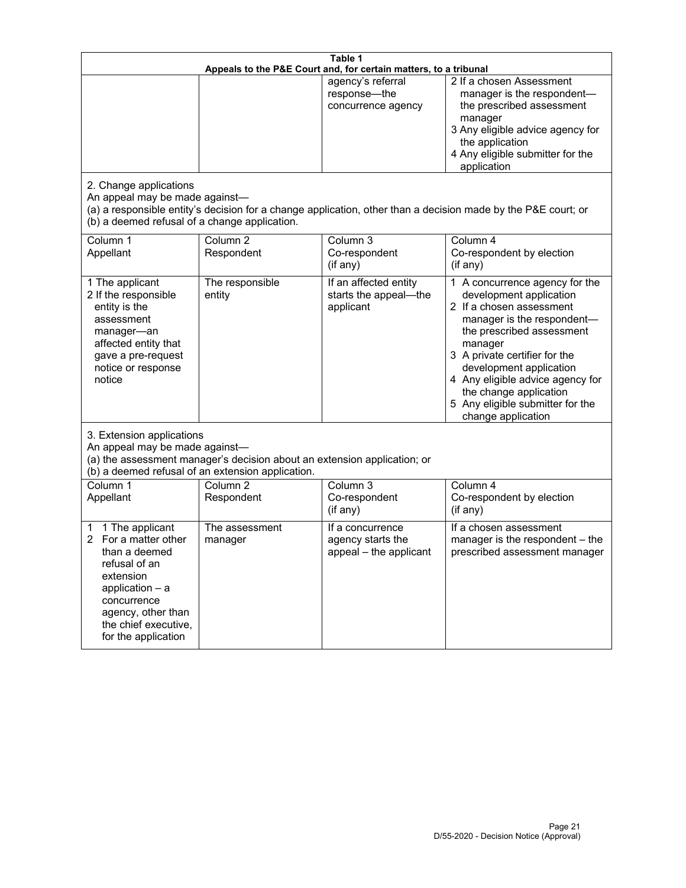| Table 1<br>Appeals to the P&E Court and, for certain matters, to a tribunal                                                                                                                        |                                                                                                                               |                                                                 |                                                                                                                                                                                                                                                                                                                                                 |
|----------------------------------------------------------------------------------------------------------------------------------------------------------------------------------------------------|-------------------------------------------------------------------------------------------------------------------------------|-----------------------------------------------------------------|-------------------------------------------------------------------------------------------------------------------------------------------------------------------------------------------------------------------------------------------------------------------------------------------------------------------------------------------------|
| 2. Change applications<br>An appeal may be made against-<br>(b) a deemed refusal of a change application.                                                                                          |                                                                                                                               | agency's referral<br>response-the<br>concurrence agency         | 2 If a chosen Assessment<br>manager is the respondent-<br>the prescribed assessment<br>manager<br>3 Any eligible advice agency for<br>the application<br>4 Any eligible submitter for the<br>application<br>(a) a responsible entity's decision for a change application, other than a decision made by the P&E court; or                       |
| Column 1<br>Appellant                                                                                                                                                                              | Column $\overline{2}$<br>Respondent                                                                                           | Column 3<br>Co-respondent<br>(if any)                           | Column 4<br>Co-respondent by election<br>(if any)                                                                                                                                                                                                                                                                                               |
| 1 The applicant<br>2 If the responsible<br>entity is the<br>assessment<br>manager-an<br>affected entity that<br>gave a pre-request<br>notice or response<br>notice                                 | The responsible<br>entity                                                                                                     | If an affected entity<br>starts the appeal-the<br>applicant     | 1 A concurrence agency for the<br>development application<br>2 If a chosen assessment<br>manager is the respondent-<br>the prescribed assessment<br>manager<br>3 A private certifier for the<br>development application<br>4 Any eligible advice agency for<br>the change application<br>5 Any eligible submitter for the<br>change application |
| 3. Extension applications<br>An appeal may be made against-                                                                                                                                        | (a) the assessment manager's decision about an extension application; or<br>(b) a deemed refusal of an extension application. |                                                                 |                                                                                                                                                                                                                                                                                                                                                 |
| Column 1<br>Appellant                                                                                                                                                                              | Column <sub>2</sub><br>Respondent                                                                                             | Column 3<br>Co-respondent<br>(if any)                           | Column 4<br>Co-respondent by election<br>(if any)                                                                                                                                                                                                                                                                                               |
| 1 The applicant<br>1<br>For a matter other<br>than a deemed<br>refusal of an<br>extension<br>application $-$ a<br>concurrence<br>agency, other than<br>the chief executive,<br>for the application | The assessment<br>manager                                                                                                     | If a concurrence<br>agency starts the<br>appeal - the applicant | If a chosen assessment<br>manager is the respondent - the<br>prescribed assessment manager                                                                                                                                                                                                                                                      |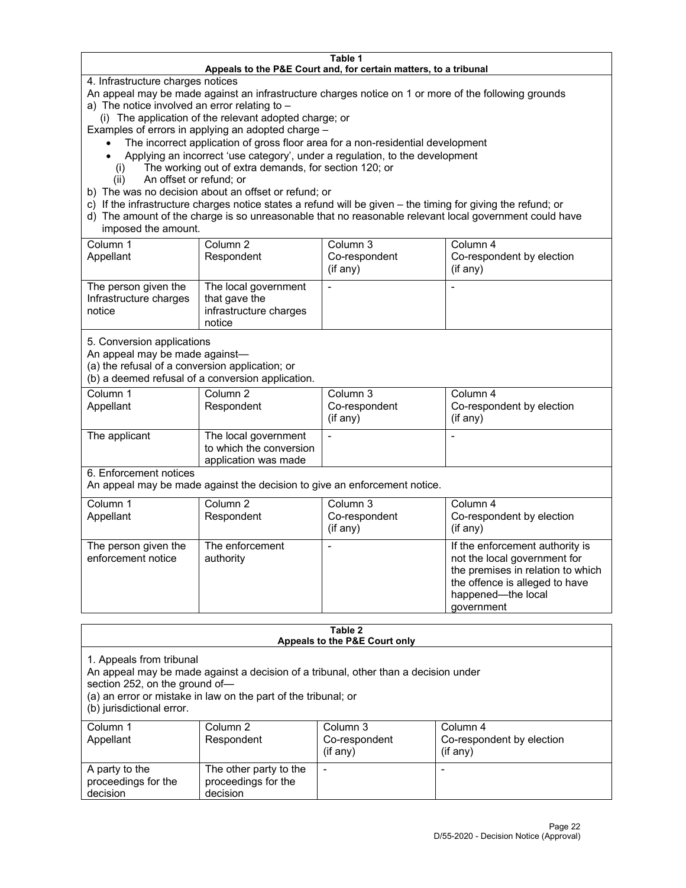#### **Table 1 Appeals to the P&E Court and, for certain matters, to a tribunal**

4. Infrastructure charges notices

An appeal may be made against an infrastructure charges notice on 1 or more of the following grounds

- a) The notice involved an error relating to
	- (i) The application of the relevant adopted charge; or

Examples of errors in applying an adopted charge –

- The incorrect application of gross floor area for a non-residential development
- Applying an incorrect 'use category', under a regulation, to the development
- (i) The working out of extra demands, for section 120; or
- (ii) An offset or refund; or
- b) The was no decision about an offset or refund; or
- c) If the infrastructure charges notice states a refund will be given the timing for giving the refund; or
- d) The amount of the charge is so unreasonable that no reasonable relevant local government could have imposed the amount.

| Column 1<br>Appellant                                    | Column 2<br>Respondent                                                    | Column 3<br>Co-respondent<br>(i f any) | Column 4<br>Co-respondent by election<br>(i f any) |
|----------------------------------------------------------|---------------------------------------------------------------------------|----------------------------------------|----------------------------------------------------|
| The person given the<br>Infrastructure charges<br>notice | The local government<br>that gave the<br>infrastructure charges<br>notice |                                        |                                                    |

5. Conversion applications

An appeal may be made against—

(a) the refusal of a conversion application; or

(b) a deemed refusal of a conversion application.

| Column 1      | Column 2                | Column 3       | Column 4                  |
|---------------|-------------------------|----------------|---------------------------|
| Appellant     | Respondent              | Co-respondent  | Co-respondent by election |
|               |                         | $($ if any $)$ | $($ if any $)$            |
|               |                         |                |                           |
| The applicant | The local government    |                |                           |
|               | to which the conversion |                |                           |
|               | application was made    |                |                           |

6. Enforcement notices

An appeal may be made against the decision to give an enforcement notice.

| Column 1<br>Appellant                      | Column 2<br>Respondent       | Column 3<br>Co-respondent<br>(if any) | Column 4<br>Co-respondent by election<br>(i f any)                                                                                                                         |
|--------------------------------------------|------------------------------|---------------------------------------|----------------------------------------------------------------------------------------------------------------------------------------------------------------------------|
| The person given the<br>enforcement notice | The enforcement<br>authority |                                       | If the enforcement authority is<br>not the local government for<br>the premises in relation to which<br>the offence is alleged to have<br>happened-the local<br>government |

#### **Table 2 Appeals to the P&E Court only**

1. Appeals from tribunal

An appeal may be made against a decision of a tribunal, other than a decision under

section 252, on the ground of—

(a) an error or mistake in law on the part of the tribunal; or

(b) jurisdictional error.

| Column 1<br>Appellant                             | Column 2<br>Respondent                                    | Column 3<br>Co-respondent<br>$(if$ any) | Column 4<br>Co-respondent by election<br>$(if$ any) |
|---------------------------------------------------|-----------------------------------------------------------|-----------------------------------------|-----------------------------------------------------|
| A party to the<br>proceedings for the<br>decision | The other party to the<br>proceedings for the<br>decision | $\overline{\phantom{a}}$                |                                                     |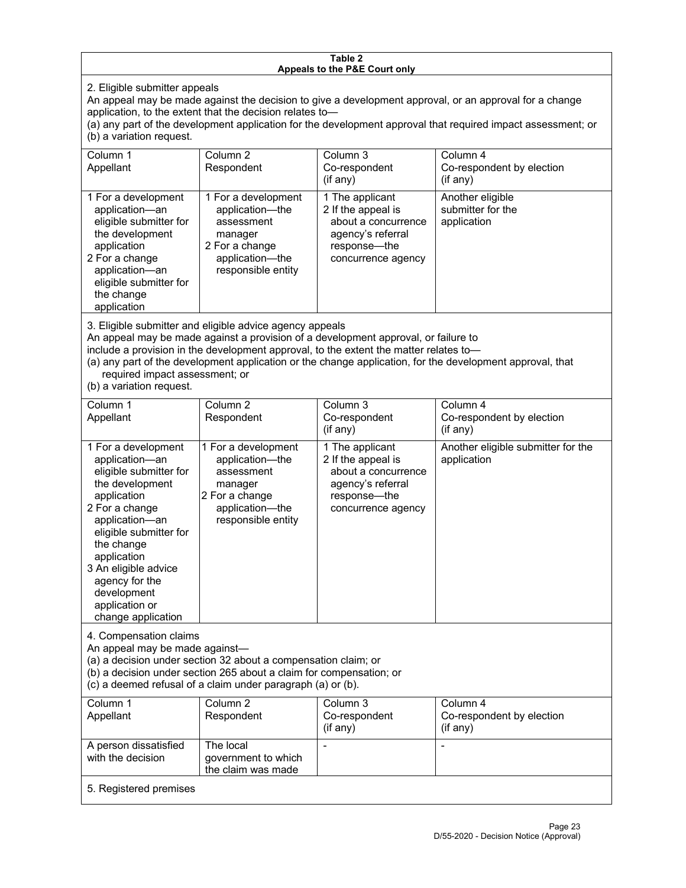### **Table 2 Appeals to the P&E Court only**

2. Eligible submitter appeals

An appeal may be made against the decision to give a development approval, or an approval for a change application, to the extent that the decision relates to—

(a) any part of the development application for the development approval that required impact assessment; or (b) a variation request.

| Column 1<br>Appellant                                                                                                                                                                        | Column 2<br>Respondent                                                                                                     | Column 3<br>Co-respondent<br>(if any)                                                                                   | Column 4<br>Co-respondent by election<br>(if any)    |
|----------------------------------------------------------------------------------------------------------------------------------------------------------------------------------------------|----------------------------------------------------------------------------------------------------------------------------|-------------------------------------------------------------------------------------------------------------------------|------------------------------------------------------|
| 1 For a development<br>application-an<br>eligible submitter for<br>the development<br>application<br>2 For a change<br>application-an<br>eligible submitter for<br>the change<br>application | 1 For a development<br>application—the<br>assessment<br>manager<br>2 For a change<br>application-the<br>responsible entity | 1 The applicant<br>2 If the appeal is<br>about a concurrence<br>agency's referral<br>response—the<br>concurrence agency | Another eligible<br>submitter for the<br>application |

3. Eligible submitter and eligible advice agency appeals

An appeal may be made against a provision of a development approval, or failure to

include a provision in the development approval, to the extent the matter relates to—

(a) any part of the development application or the change application, for the development approval, that required impact assessment; or

(b) a variation request.

| Column 1<br>Appellant                                                                                                                                                                                                                                                                         | Column <sub>2</sub><br>Respondent                                                                                          | Column 3<br>Co-respondent<br>(if any)                                                                                   | Column 4<br>Co-respondent by election<br>(if any) |  |
|-----------------------------------------------------------------------------------------------------------------------------------------------------------------------------------------------------------------------------------------------------------------------------------------------|----------------------------------------------------------------------------------------------------------------------------|-------------------------------------------------------------------------------------------------------------------------|---------------------------------------------------|--|
| 1 For a development<br>application-an<br>eligible submitter for<br>the development<br>application<br>2 For a change<br>application-an<br>eligible submitter for<br>the change<br>application<br>3 An eligible advice<br>agency for the<br>development<br>application or<br>change application | 1 For a development<br>application-the<br>assessment<br>manager<br>2 For a change<br>application-the<br>responsible entity | 1 The applicant<br>2 If the appeal is<br>about a concurrence<br>agency's referral<br>response-the<br>concurrence agency | Another eligible submitter for the<br>application |  |
| 4. Compensation claims<br>An appeal may be made against-<br>(a) a decision under section 32 about a compensation claim; or<br>(b) a decision under section 265 about a claim for compensation; or<br>(c) a deemed refusal of a claim under paragraph (a) or (b).                              |                                                                                                                            |                                                                                                                         |                                                   |  |
| Column <sub>1</sub><br>Appellant                                                                                                                                                                                                                                                              | Column <sub>2</sub><br>Respondent                                                                                          | Column 3<br>Co-respondent<br>(if any)                                                                                   | Column 4<br>Co-respondent by election<br>(if any) |  |
| A person dissatisfied<br>with the decision                                                                                                                                                                                                                                                    | The local<br>government to which<br>the claim was made                                                                     |                                                                                                                         |                                                   |  |
| 5. Registered premises                                                                                                                                                                                                                                                                        |                                                                                                                            |                                                                                                                         |                                                   |  |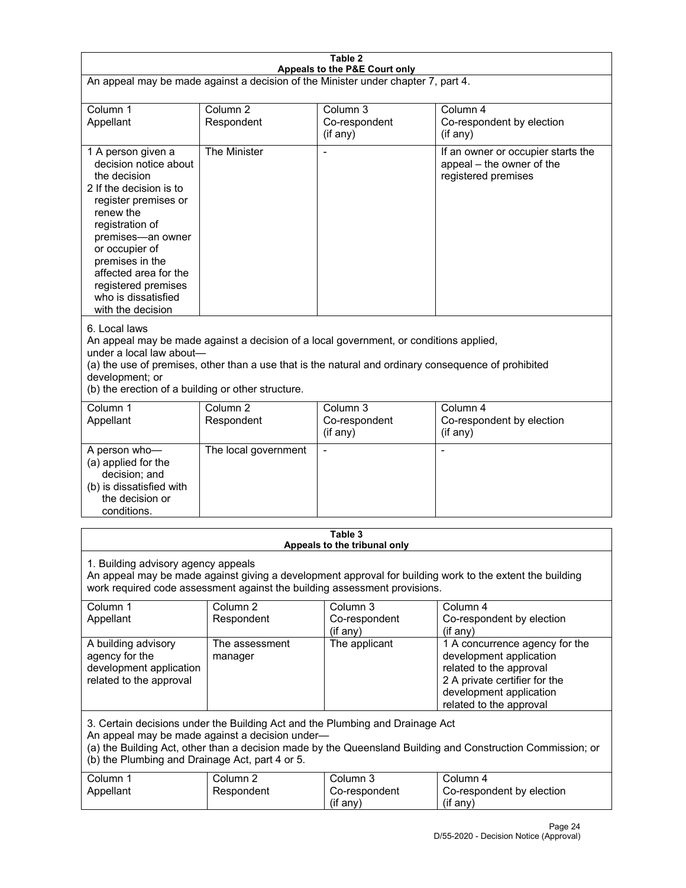| Table 2<br>Appeals to the P&E Court only                                                                                                                                                                                                                                                                             |                                   |                                                  |                                                                                                                                                                             |  |  |
|----------------------------------------------------------------------------------------------------------------------------------------------------------------------------------------------------------------------------------------------------------------------------------------------------------------------|-----------------------------------|--------------------------------------------------|-----------------------------------------------------------------------------------------------------------------------------------------------------------------------------|--|--|
| An appeal may be made against a decision of the Minister under chapter 7, part 4.                                                                                                                                                                                                                                    |                                   |                                                  |                                                                                                                                                                             |  |  |
| Column 1<br>Appellant                                                                                                                                                                                                                                                                                                | Column <sub>2</sub><br>Respondent | Column <sub>3</sub><br>Co-respondent<br>(if any) | Column 4<br>Co-respondent by election<br>(if any)                                                                                                                           |  |  |
| 1 A person given a<br>decision notice about<br>the decision<br>2 If the decision is to<br>register premises or<br>renew the<br>registration of<br>premises-an owner<br>or occupier of<br>premises in the<br>affected area for the<br>registered premises<br>who is dissatisfied<br>with the decision                 | The Minister                      | Ĭ.                                               | If an owner or occupier starts the<br>appeal - the owner of the<br>registered premises                                                                                      |  |  |
| 6. Local laws<br>An appeal may be made against a decision of a local government, or conditions applied,<br>under a local law about-<br>(a) the use of premises, other than a use that is the natural and ordinary consequence of prohibited<br>development; or<br>(b) the erection of a building or other structure. |                                   |                                                  |                                                                                                                                                                             |  |  |
| Column 1<br>Appellant                                                                                                                                                                                                                                                                                                | Column <sub>2</sub><br>Respondent | Column 3<br>Co-respondent<br>(if any)            | Column 4<br>Co-respondent by election<br>(if any)                                                                                                                           |  |  |
| A person who-<br>(a) applied for the<br>decision; and<br>(b) is dissatisfied with<br>the decision or<br>conditions.                                                                                                                                                                                                  | The local government              | L,                                               | $\overline{a}$                                                                                                                                                              |  |  |
| Table 3<br>Appeals to the tribunal only                                                                                                                                                                                                                                                                              |                                   |                                                  |                                                                                                                                                                             |  |  |
| 1. Building advisory agency appeals<br>An appeal may be made against giving a development approval for building work to the extent the building<br>work required code assessment against the building assessment provisions.                                                                                         |                                   |                                                  |                                                                                                                                                                             |  |  |
| Column 1<br>Appellant                                                                                                                                                                                                                                                                                                | Column <sub>2</sub><br>Respondent | Column 3<br>Co-respondent<br>(if any)            | Column 4<br>Co-respondent by election<br>(if any)                                                                                                                           |  |  |
| A building advisory<br>agency for the<br>development application<br>related to the approval                                                                                                                                                                                                                          | The assessment<br>manager         | The applicant                                    | 1 A concurrence agency for the<br>development application<br>related to the approval<br>2 A private certifier for the<br>development application<br>related to the approval |  |  |
| 3. Certain decisions under the Building Act and the Plumbing and Drainage Act<br>An appeal may be made against a decision under-<br>(a) the Building Act, other than a decision made by the Queensland Building and Construction Commission; or<br>(b) the Plumbing and Drainage Act, part 4 or 5.                   |                                   |                                                  |                                                                                                                                                                             |  |  |
| Column 1<br>Appellant                                                                                                                                                                                                                                                                                                | Column <sub>2</sub><br>Respondent | Column 3<br>Co-respondent<br>(if any)            | Column 4<br>Co-respondent by election<br>(if any)                                                                                                                           |  |  |